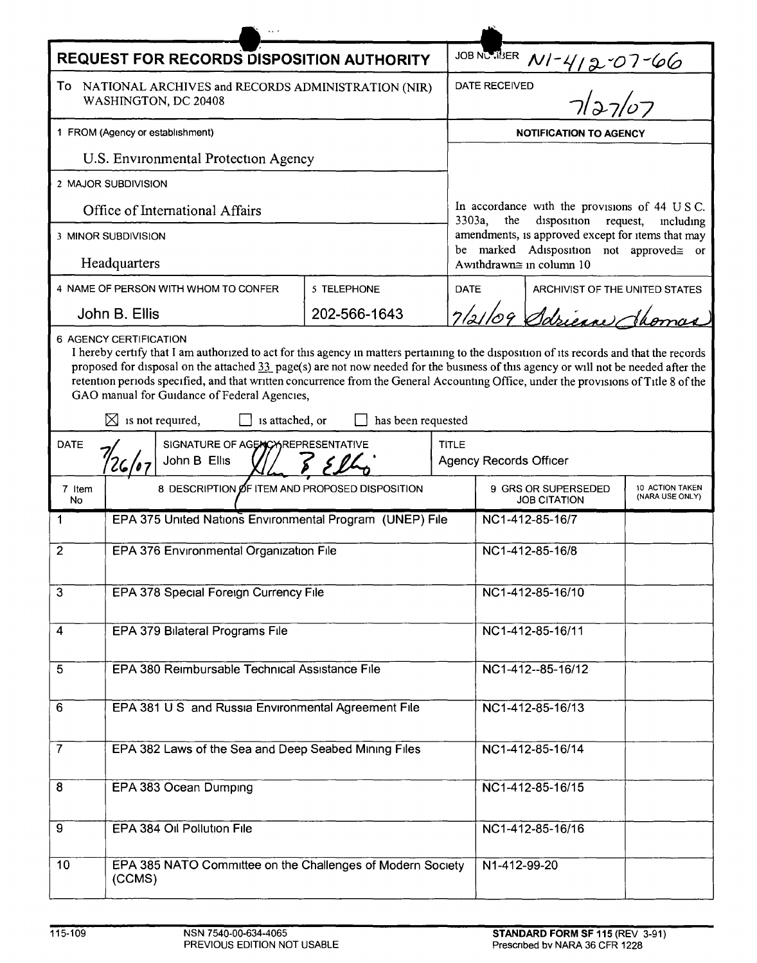| <b>REQUEST FOR RECORDS DISPOSITION AUTHORITY</b>                                                                                                                                                                                                                                                                                                                                                                                                                                                                                                  |                                                                      |             |             |                                                                                                    |                                |  |  |
|---------------------------------------------------------------------------------------------------------------------------------------------------------------------------------------------------------------------------------------------------------------------------------------------------------------------------------------------------------------------------------------------------------------------------------------------------------------------------------------------------------------------------------------------------|----------------------------------------------------------------------|-------------|-------------|----------------------------------------------------------------------------------------------------|--------------------------------|--|--|
| To:<br>NATIONAL ARCHIVES and RECORDS ADMINISTRATION (NIR)<br>WASHINGTON, DC 20408                                                                                                                                                                                                                                                                                                                                                                                                                                                                 |                                                                      |             |             | JOB NCRIBER $N1 - 412 - 07 - 66$<br>DATE RECEIVED<br>$7/27/07$                                     |                                |  |  |
| 1 FROM (Agency or establishment)                                                                                                                                                                                                                                                                                                                                                                                                                                                                                                                  |                                                                      |             |             | <b>NOTIFICATION TO AGENCY</b>                                                                      |                                |  |  |
| U.S. Environmental Protection Agency                                                                                                                                                                                                                                                                                                                                                                                                                                                                                                              |                                                                      |             |             |                                                                                                    |                                |  |  |
| 2 MAJOR SUBDIVISION                                                                                                                                                                                                                                                                                                                                                                                                                                                                                                                               |                                                                      |             |             |                                                                                                    |                                |  |  |
| Office of International Affairs                                                                                                                                                                                                                                                                                                                                                                                                                                                                                                                   |                                                                      |             |             | In accordance with the provisions of 44 USC.<br>3303a,<br>disposition request,<br>the<br>including |                                |  |  |
| 3 MINOR SUBDIVISION                                                                                                                                                                                                                                                                                                                                                                                                                                                                                                                               |                                                                      |             |             | amendments, is approved except for items that may<br>be marked Adisposition not approved= or       |                                |  |  |
| Headquarters                                                                                                                                                                                                                                                                                                                                                                                                                                                                                                                                      |                                                                      |             |             | Awithdrawn≅ in column 10                                                                           |                                |  |  |
| 4 NAME OF PERSON WITH WHOM TO CONFER                                                                                                                                                                                                                                                                                                                                                                                                                                                                                                              |                                                                      | 5 TELEPHONE | <b>DATE</b> |                                                                                                    | ARCHIVIST OF THE UNITED STATES |  |  |
|                                                                                                                                                                                                                                                                                                                                                                                                                                                                                                                                                   | John B. Ellis<br>202-566-1643                                        |             |             |                                                                                                    | 7/21/09 Sdrienn Jhoman         |  |  |
| I hereby certify that I am authorized to act for this agency in matters pertaining to the disposition of its records and that the records<br>proposed for disposal on the attached 33 page(s) are not now needed for the business of this agency or will not be needed after the<br>retention periods specified, and that written concurrence from the General Accounting Office, under the provisions of Title 8 of the<br>GAO manual for Guidance of Federal Agencies,<br>$\boxtimes$ is not required,<br>is attached, or<br>has been requested |                                                                      |             |             |                                                                                                    |                                |  |  |
| <b>DATE</b>                                                                                                                                                                                                                                                                                                                                                                                                                                                                                                                                       | SIGNATURE OF AGENCY REPRESENTATIVE<br>John B Ellis                   |             |             | <b>TITLE</b><br><b>Agency Records Officer</b>                                                      |                                |  |  |
| 7 Item<br>No                                                                                                                                                                                                                                                                                                                                                                                                                                                                                                                                      | 8 DESCRIPTION OF ITEM AND PROPOSED DISPOSITION                       |             |             | 9 GRS OR SUPERSEDED<br>10 ACTION TAKEN<br>(NARA USE ONLY)<br><b>JOB CITATION</b>                   |                                |  |  |
| 1                                                                                                                                                                                                                                                                                                                                                                                                                                                                                                                                                 | EPA 375 United Nations Environmental Program (UNEP) File             |             |             | NC1-412-85-16/7                                                                                    |                                |  |  |
| $\overline{2}$                                                                                                                                                                                                                                                                                                                                                                                                                                                                                                                                    | EPA 376 Environmental Organization File                              |             |             | NC1-412-85-16/8                                                                                    |                                |  |  |
| 3                                                                                                                                                                                                                                                                                                                                                                                                                                                                                                                                                 | EPA 378 Special Foreign Currency File                                |             |             | NC1-412-85-16/10                                                                                   |                                |  |  |
| 4                                                                                                                                                                                                                                                                                                                                                                                                                                                                                                                                                 | <b>EPA 379 Bilateral Programs File</b>                               |             |             | NC1-412-85-16/11                                                                                   |                                |  |  |
| 5                                                                                                                                                                                                                                                                                                                                                                                                                                                                                                                                                 | EPA 380 Reimbursable Technical Assistance File                       |             |             | NC1-412--85-16/12                                                                                  |                                |  |  |
| 6                                                                                                                                                                                                                                                                                                                                                                                                                                                                                                                                                 | EPA 381 U S and Russia Environmental Agreement File                  |             |             | NC1-412-85-16/13                                                                                   |                                |  |  |
| $\overline{7}$                                                                                                                                                                                                                                                                                                                                                                                                                                                                                                                                    | EPA 382 Laws of the Sea and Deep Seabed Mining Files                 |             |             | NC1-412-85-16/14                                                                                   |                                |  |  |
| 8                                                                                                                                                                                                                                                                                                                                                                                                                                                                                                                                                 | EPA 383 Ocean Dumping                                                |             |             | NC1-412-85-16/15                                                                                   |                                |  |  |
| 9                                                                                                                                                                                                                                                                                                                                                                                                                                                                                                                                                 | EPA 384 Oil Pollution File                                           |             |             | NC1-412-85-16/16                                                                                   |                                |  |  |
| 10                                                                                                                                                                                                                                                                                                                                                                                                                                                                                                                                                | EPA 385 NATO Committee on the Challenges of Modern Society<br>(CCMS) |             |             | N1-412-99-20                                                                                       |                                |  |  |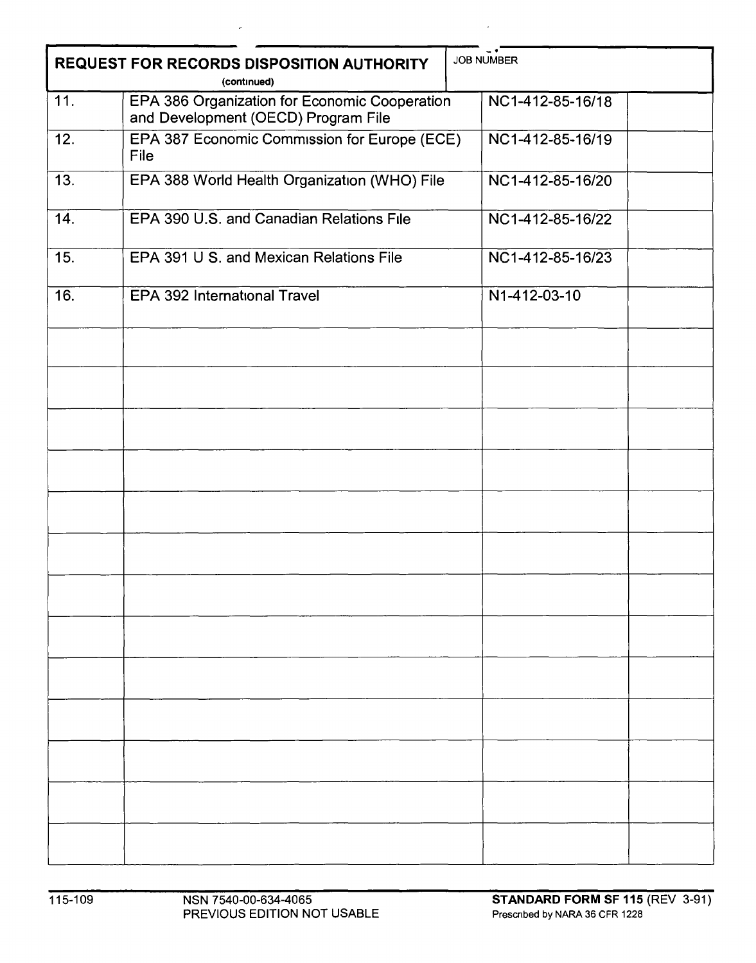| <b>JOB NUMBER</b><br>REQUEST FOR RECORDS DISPOSITION AUTHORITY<br>(continued) |                                                      |                  |  |  |  |  |
|-------------------------------------------------------------------------------|------------------------------------------------------|------------------|--|--|--|--|
|                                                                               |                                                      |                  |  |  |  |  |
| 12.                                                                           | EPA 387 Economic Commission for Europe (ECE)<br>File | NC1-412-85-16/19 |  |  |  |  |
| 13.                                                                           | EPA 388 World Health Organization (WHO) File         | NC1-412-85-16/20 |  |  |  |  |
| 14.                                                                           | EPA 390 U.S. and Canadian Relations File             | NC1-412-85-16/22 |  |  |  |  |
| 15.                                                                           | EPA 391 U S. and Mexican Relations File              | NC1-412-85-16/23 |  |  |  |  |
| 16.                                                                           | EPA 392 International Travel                         | N1-412-03-10     |  |  |  |  |
|                                                                               |                                                      |                  |  |  |  |  |
|                                                                               |                                                      |                  |  |  |  |  |
|                                                                               |                                                      |                  |  |  |  |  |
|                                                                               |                                                      |                  |  |  |  |  |
|                                                                               |                                                      |                  |  |  |  |  |
|                                                                               |                                                      |                  |  |  |  |  |
|                                                                               |                                                      |                  |  |  |  |  |
|                                                                               |                                                      |                  |  |  |  |  |
|                                                                               |                                                      |                  |  |  |  |  |
|                                                                               |                                                      |                  |  |  |  |  |
|                                                                               |                                                      |                  |  |  |  |  |
|                                                                               |                                                      |                  |  |  |  |  |
|                                                                               |                                                      |                  |  |  |  |  |

 $\mathcal{L}$ 

 $\mathcal{L}$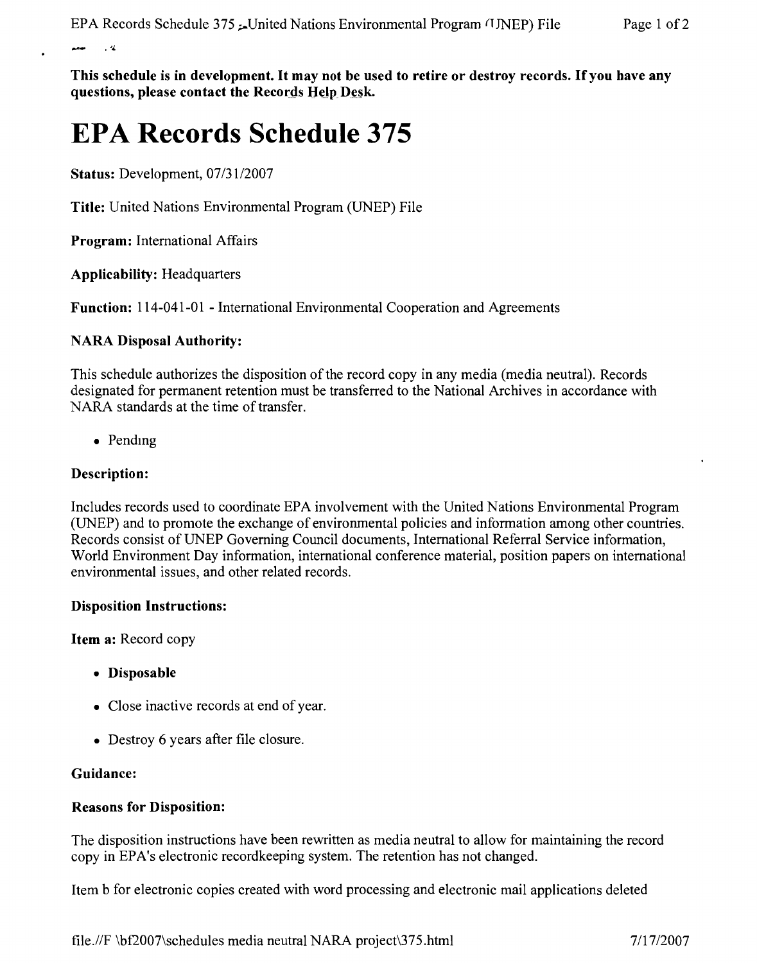$\sim$   $\alpha$ 

**This schedule is in development. It may not be used to retire or destroy records.** If you **have any questions, please contact the** Records Help Desk-

# **EPA Records Schedule 375**

**Status:** Development, *07/3112007*

**Title:** United Nations Environmental Program (UNEP) File

**Program:** International Affairs

**Applicability:** Headquarters

**Function:** 114-041-01 - International Environmental Cooperation and Agreements

### **NARA Disposal Authority:**

This schedule authorizes the disposition of the record copy in any media (media neutral). Records designated for permanent retention must be transferred to the National Archives in accordance with NARA standards at the time of transfer.

• Pending

### **Description:**

Includes records used to coordinate EPA involvement with the United Nations Environmental Program (UNEP) and to promote the exchange of environmental policies and information among other countries. Records consist of UNEP Governing Council documents, International Referral Service information, World Environment Day information, international conference material, position papers on international environmental issues, and other related records.

#### **Disposition Instructions:**

**Item a:** Record copy

- **• Disposable**
- Close inactive records at end of year.
- Destroy 6 years after file closure.

#### **Guidance:**

#### **Reasons for Disposition:**

The disposition instructions have been rewritten as media neutral to allow for maintaining the record copy in EPA's electronic recordkeeping system. The retention has not changed.

Item b for electronic copies created with word processing and electronic mail applications deleted

tile'//F \bf2007\schedules media neutral NARA project\375.html *711712007*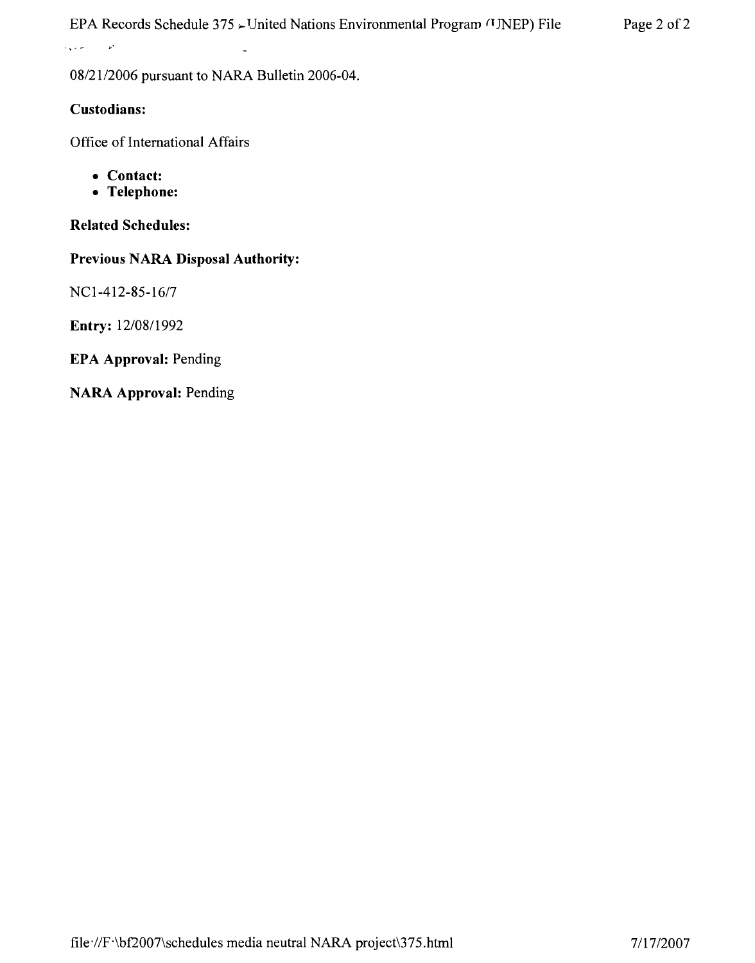EPA Records Schedule 375  $\sim$  United Nations Environmental Program (INEP) File Page 2 of 2

*08/2112006* pursuant to NARA Bulletin 2006-04.

## **Custodians:**

 $\mathbf{p}^{\mathbf{r}}$ 

 $\tilde{Q}$  is  $\tilde{Q}$  . Then

Office of International Affairs

- **• Contact:**
- **• Telephone:**

**Related Schedules:**

**Previous NARA Disposal Authority:**

NCl-412-85-16/7

**Entry:** *12/0811992*

**EPA Approval:** Pending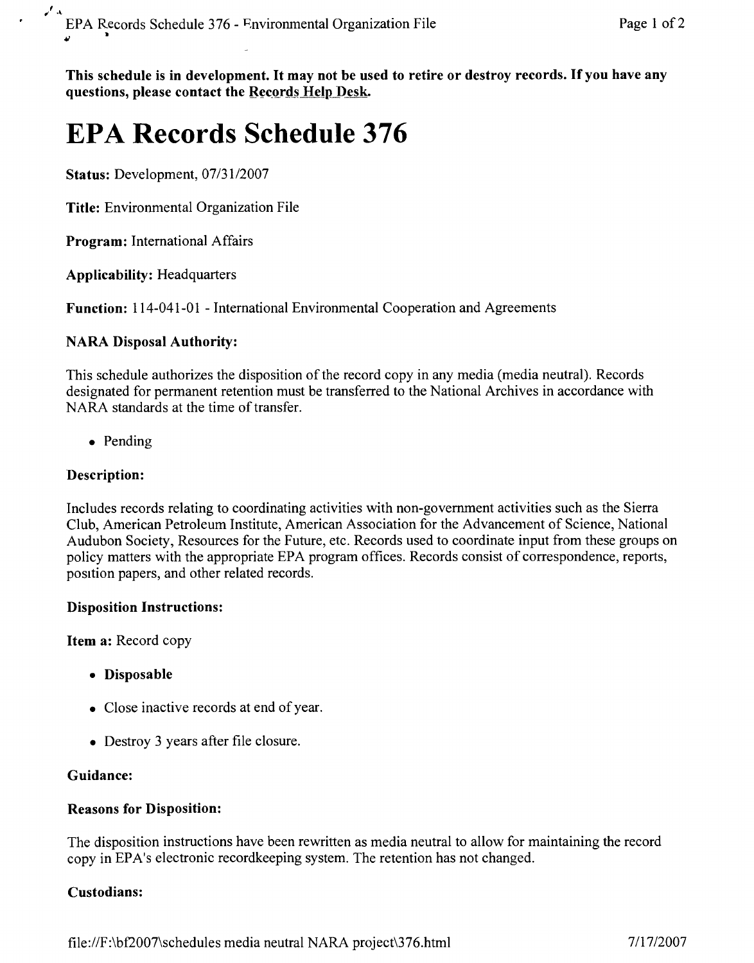This schedule is in development. It may not be used to retire or destroy records. If you have any questions, please contact the Records Help Desk.

# **EPA Records Schedule 376**

Status: Development, *07/3112007*

Title: Environmental Organization File

Program: International Affairs

Applicability: Headquarters

Function: 114-041-01 - International Environmental Cooperation and Agreements

## NARA Disposal Authority:

This schedule authorizes the disposition of the record copy in any media (media neutral). Records designated for permanent retention must be transferred to the National Archives in accordance with NARA standards at the time of transfer.

• Pending

## Description:

Includes records relating to coordinating activities with non-government activities such as the Sierra Club, American Petroleum Institute, American Association for the Advancement of Science, National Audubon Society, Resources for the Future, etc. Records used to coordinate input from these groups on policy matters with the appropriate EPA program offices. Records consist of correspondence, reports, position papers, and other related records.

## Disposition Instructions:

Item a: Record copy

- Disposable
- Close inactive records at end of year.
- Destroy 3 years after file closure.

## Guidance:

## Reasons for Disposition:

The disposition instructions have been rewritten as media neutral to allow for maintaining the record copy in EPA's electronic recordkeeping system. The retention has not changed.

## Custodians: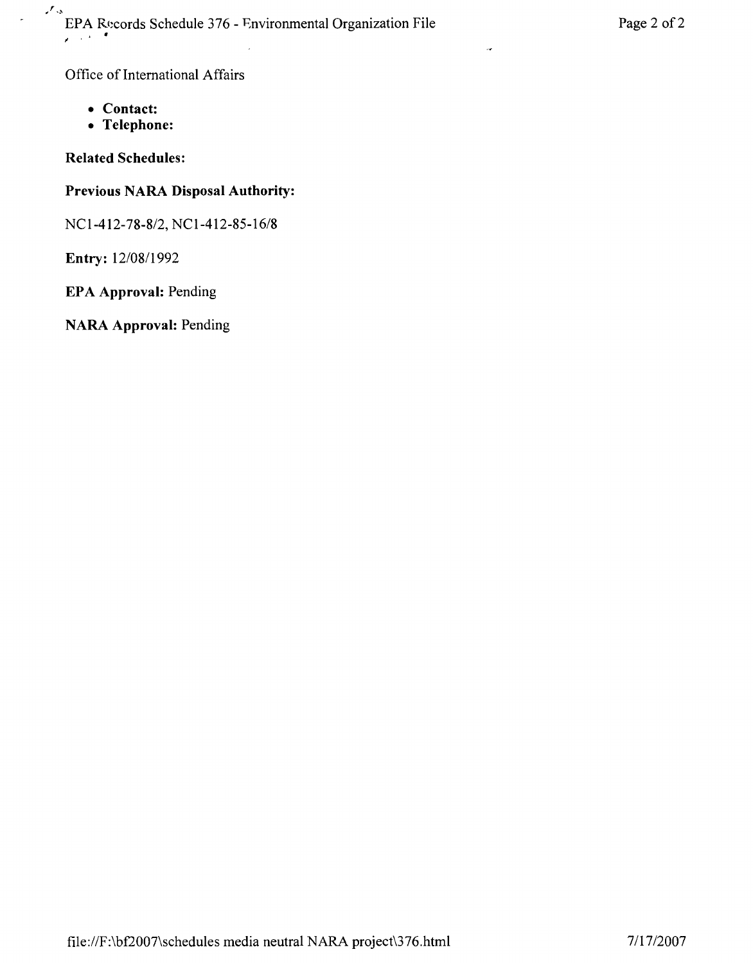$\mathcal{F}_{\mathcal{S}}$ EPA Records Schedule 376 - Environmental Organization File Page 2 of 2<br> **Page 2 of 2** 

Office of International Affairs

- **• Contact:**
- **• Telephone:**

## **Related Schedules:**

## **Previous NARA Disposal Authority:**

NCl-412-78-8/2, NCl-412-85-16/8

**Entry:** 12/0811992

## **EPA Approval:** Pending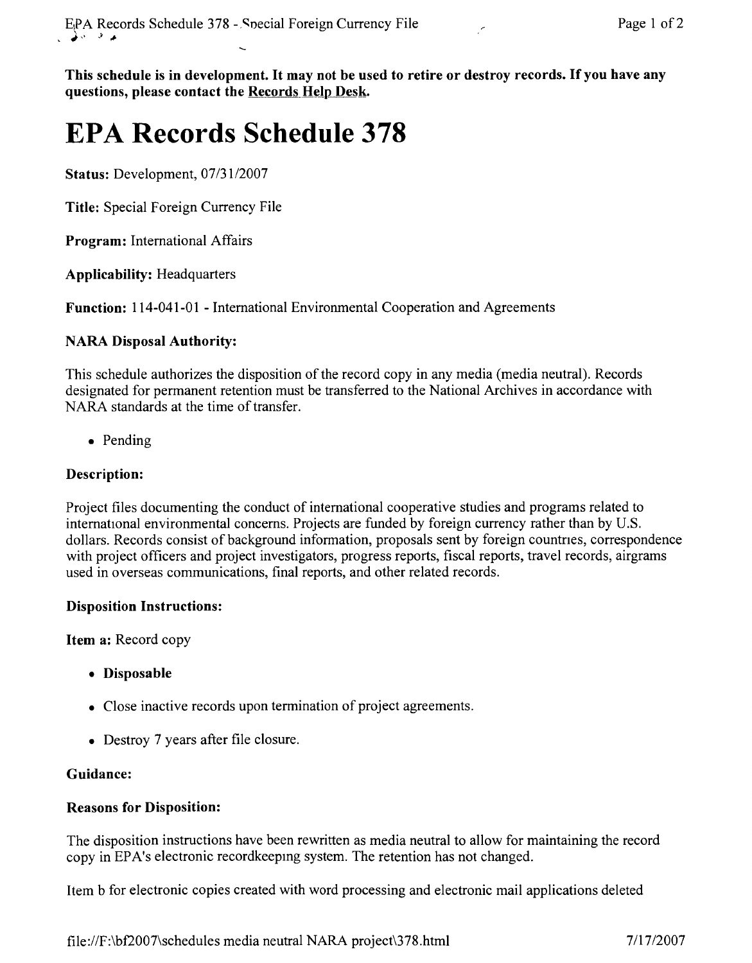This schedule is **in** development. It may not be used to retire or destroy records. If you have any questions, please contact the Records Help Desk.

# **EPA Records Schedule 378**

Status: Development, *07/3112007*

Title: Special Foreign Currency File

Program: International Affairs

Applicability: Headquarters

Function: 114-041-01 - International Environmental Cooperation and Agreements

## NARA Disposal Authority:

This schedule authorizes the disposition of the record copy in any media (media neutral). Records designated for permanent retention must be transferred to the National Archives in accordance with NARA standards at the time of transfer.

• Pending

## Description:

Project files documenting the conduct of international cooperative studies and programs related to international environmental concerns. Projects are funded by foreign currency rather than by U.S. dollars. Records consist of background information, proposals sent by foreign countnes, correspondence with project officers and project investigators, progress reports, fiscal reports, travel records, airgrams used in overseas communications, final reports, and other related records.

## Disposition Instructions:

Item a: Record copy

- Disposable
- Close inactive records upon termination of project agreements.
- Destroy 7 years after file closure.

## Guidance:

## Reasons for Disposition:

The disposition instructions have been rewritten as media neutral to allow for maintaining the record copy in EPA's electronic recordkeepmg system. The retention has not changed.

Item b for electronic copies created with word processing and electronic mail applications deleted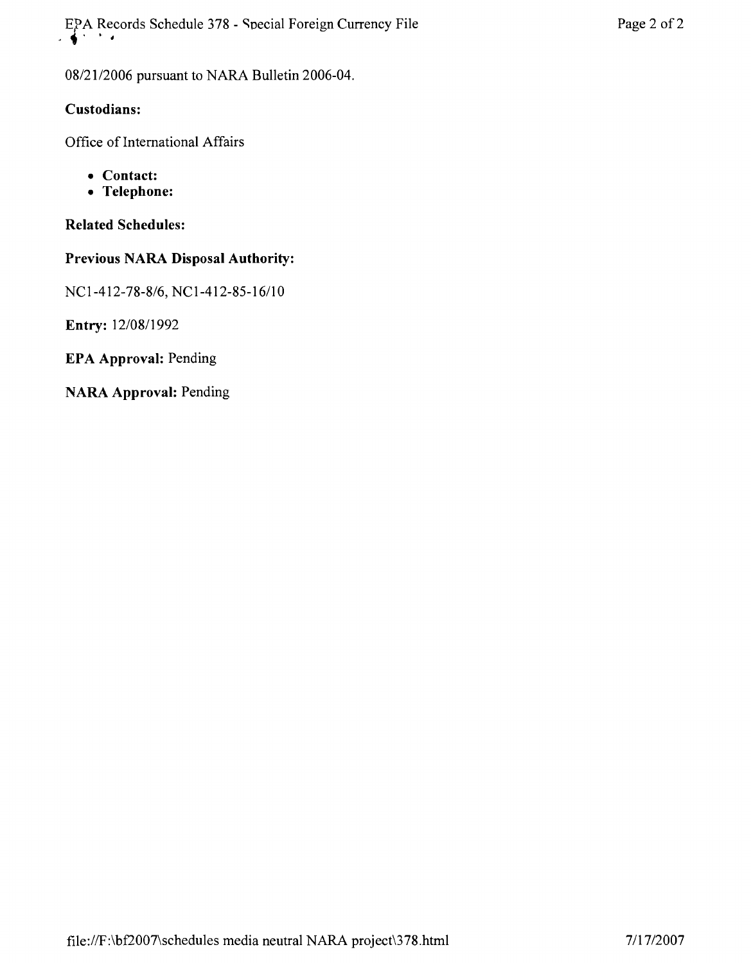**EPA Records Schedule 378 - Special Foreign Currency File Page 2 of 2** 

*08/21/2006* pursuant to NARA Bulletin 2006-04.

## **Custodians:**

Office of International Affairs

- **• Contact:**
- **• Telephone:**

## **Related Schedules:**

## **Previous** NARA **Disposal Authority:**

*NCl-412-78-8/6, NCl-412-85-16/1* 0

**Entry:** *12/0811992*

**EPA Approval:** Pending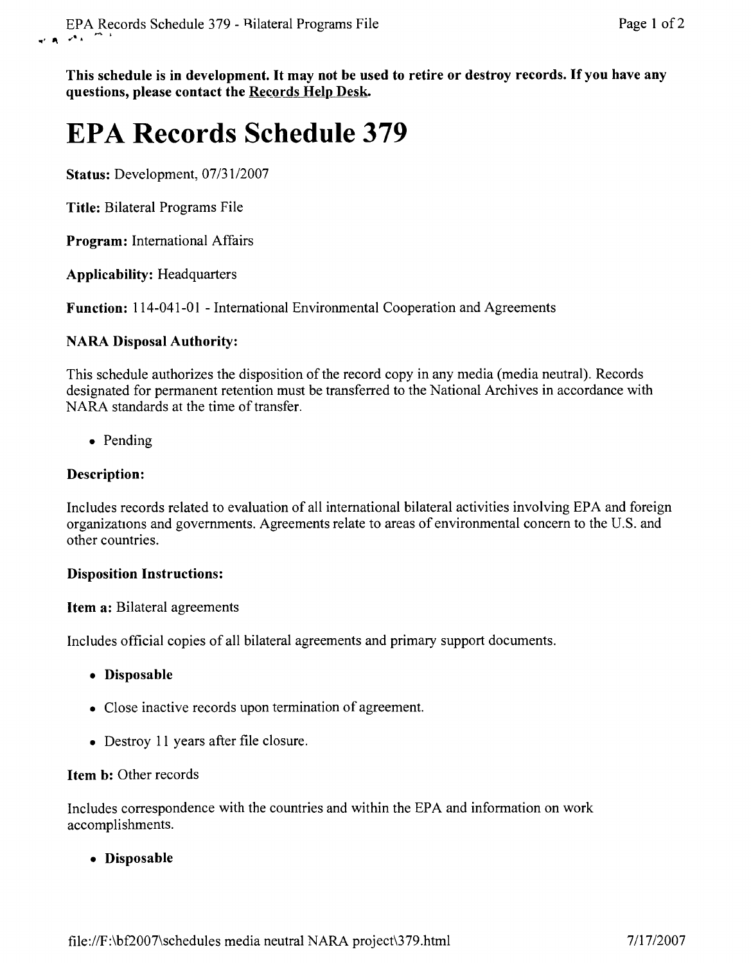This schedule is in development. It may not be used to retire or destroy records. If you have any questions, please contact the Records Help Desk.

# **EPA Records Schedule 379**

Status: Development, *07/31/2007*

Title: Bilateral Programs File

Program: International Affairs

Applicability: Headquarters

Function: 114-041-01 - International Environmental Cooperation and Agreements

## NARA Disposal Authority:

This schedule authorizes the disposition of the record copy in any media (media neutral). Records designated for permanent retention must be transferred to the National Archives in accordance with NARA standards at the time of transfer.

• Pending

## Description:

Includes records related to evaluation of all international bilateral activities involving EPA and foreign organizations and governments. Agreements relate to areas of environmental concern to the U.S. and other countries.

## Disposition Instructions:

Item a: Bilateral agreements

Includes official copies of all bilateral agreements and primary support documents.

- Disposable
- Close inactive records upon termination of agreement.
- Destroy 11 years after file closure.

## Item b: Other records

Includes correspondence with the countries and within the EPA and information on work accomplishments.

• Disposable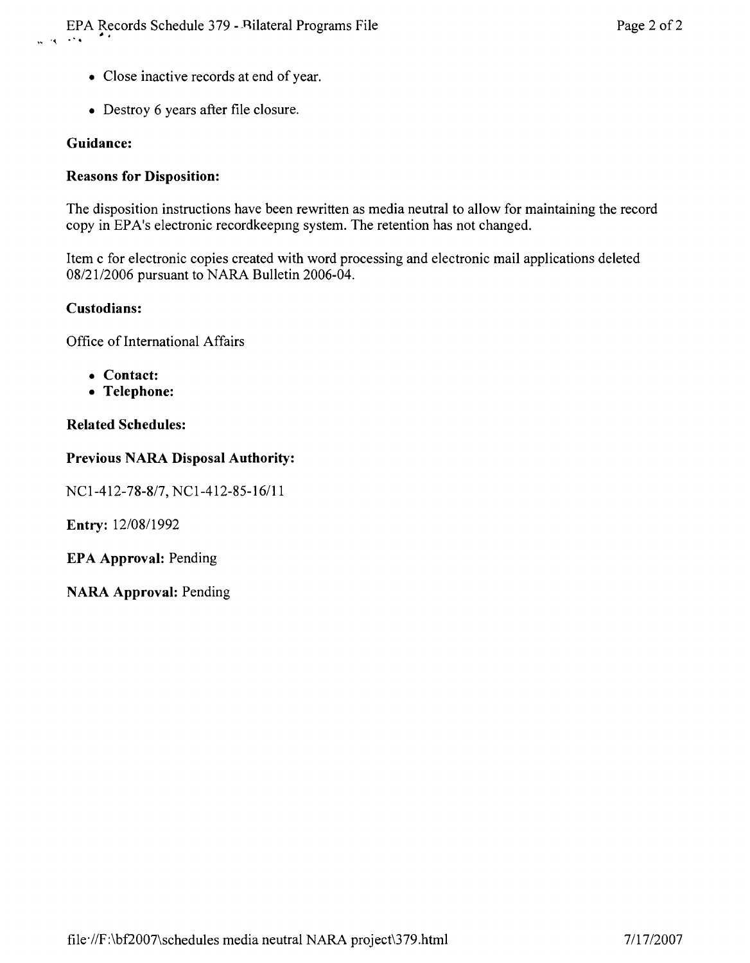- Close inactive records at end of year.
- Destroy 6 years after file closure.

## **Guidance:**

## **Reasons for Disposition:**

The disposition instructions have been rewritten as media neutral to allow for maintaining the record copy in EPA's electronic recordkeepmg system. The retention has not changed.

Item c for electronic copies created with word processing and electronic mail applications deleted *0812112006* pursuant to NARA Bulletin 2006-04.

### **Custodians:**

Office of International Affairs

- **• Contact:**
- **• Telephone:**

## **Related Schedules:**

## **Previous NARA Disposal Authority:**

*NCl-412-78-817,* NCl-412-85-16111

**Entry:** *12/08/1992*

**EPA Approval:** Pending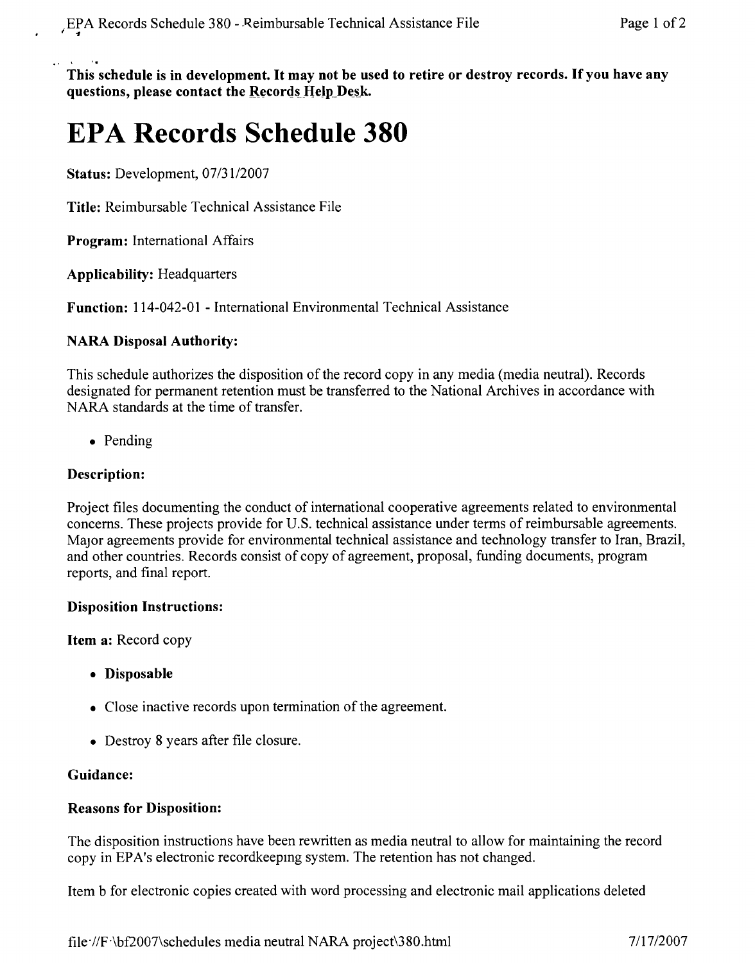.' . This schedule is in development. It may not be used to retire or destroy records. If you have any **questions, please contact the Records Help Desk.** 

# **EPA Records Schedule 380**

**Status:** Development, *07/31/2007*

**Title:** Reimbursable Technical Assistance File

**Program:** International Affairs

**Applicability:** Headquarters

**Function:** 114-042-01 - International Environmental Technical Assistance

#### **NARA Disposal Authority:**

This schedule authorizes the disposition of the record copy in any media (media neutral). Records designated for permanent retention must be transferred to the National Archives in accordance with NARA standards at the time of transfer.

• Pending

## **Description:**

Project files documenting the conduct of international cooperative agreements related to environmental concerns. These projects provide for U.S. technical assistance under terms of reimbursable agreements. Major agreements provide for environmental technical assistance and technology transfer to Iran, Brazil, and other countries. Records consist of copy of agreement, proposal, funding documents, program reports, and final report.

#### **Disposition Instructions:**

**Item a:** Record copy

- **• Disposable**
- Close inactive records upon termination of the agreement.
- Destroy 8 years after file closure.

#### **Guidance:**

#### **Reasons for Disposition:**

The disposition instructions have been rewritten as media neutral to allow for maintaining the record copy in EPA's electronic recordkeepmg system. The retention has not changed.

Item b for electronic copies created with word processing and electronic mail applications deleted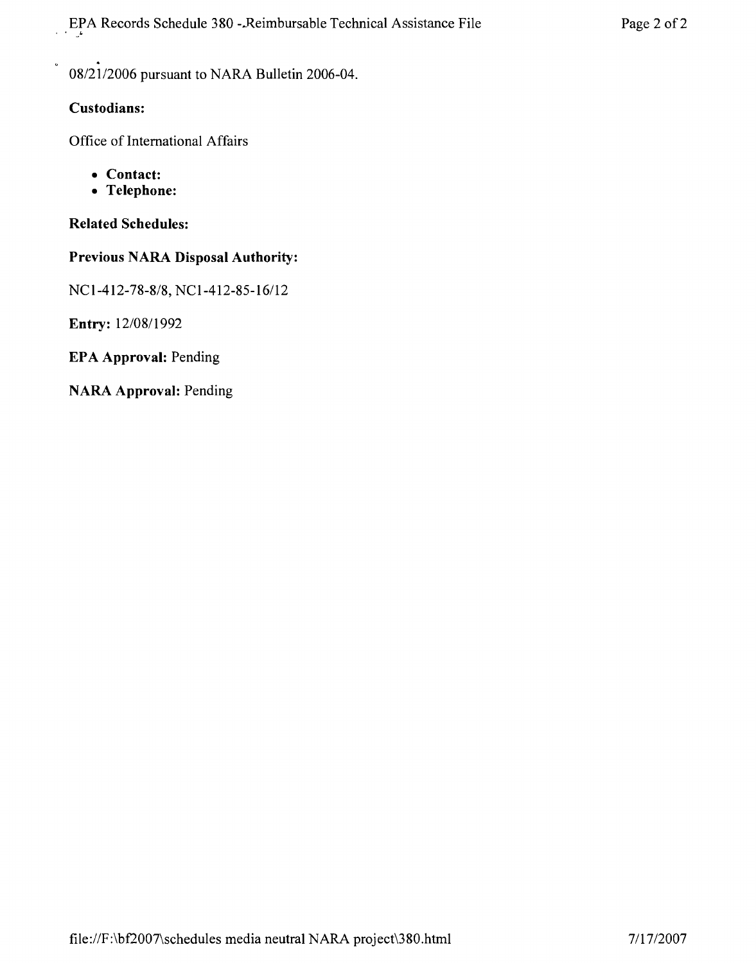*08/21/2006* pursuant to NARA Bulletin 2006-04.

## **Custodians:**

Office of International Affairs

- **• Contact:**
- **• Telephone:**

**Related Schedules:**

## **Previous NARA Disposal Authority:**

*NCI-412-78-8/8,* NCI-412-85-16112

**Entry:** *12/0811992*

**EPA Approval:** Pending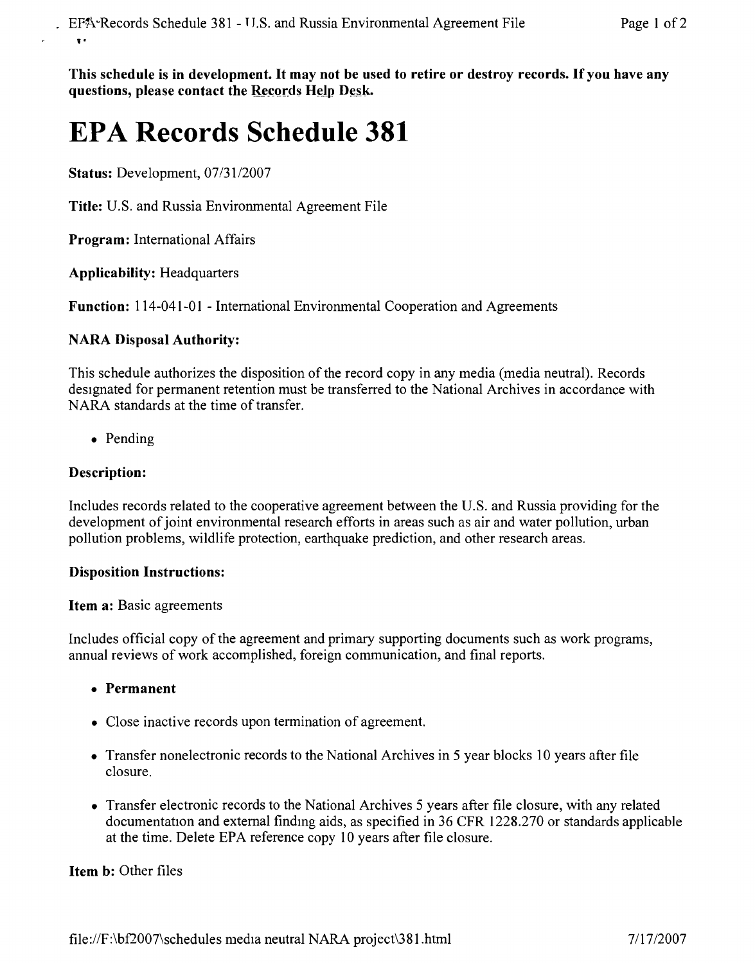This schedule is in development. It may not be used to retire or destroy records. If you have any **questions, please contact the** Records Help Desk,

## **EPA Records Schedule 381**

**Status:** Development, *07/31/2007*

**Title:** U.S. and Russia Environmental Agreement File

**Program:** International Affairs

**Applicability:** Headquarters

**Function:** 114-041-01 - International Environmental Cooperation and Agreements

### **NARA Disposal Authority:**

This schedule authorizes the disposition of the record copy in any media (media neutral). Records designated for permanent retention must be transferred to the National Archives in accordance with NARA standards at the time of transfer.

• Pending

### **Description:**

Includes records related to the cooperative agreement between the U.S. and Russia providing for the development of joint environmental research efforts in areas such as air and water pollution, urban pollution problems, wildlife protection, earthquake prediction, and other research areas.

#### **Disposition Instructions:**

#### **Item a:** Basic agreements

Includes official copy of the agreement and primary supporting documents such as work programs, annual reviews of work accomplished, foreign communication, and final reports.

- **• Permanent**
- Close inactive records upon termination of agreement.
- Transfer nonelectronic records to the National Archives in 5 year blocks 10 years after file closure.
- Transfer electronic records to the National Archives 5 years after file closure, with any related documentation and external findmg aids, as specified in 36 CFR 1228.270 or standards applicable at the time. Delete EPA reference copy 10 years after file closure.

**Item b:** Other files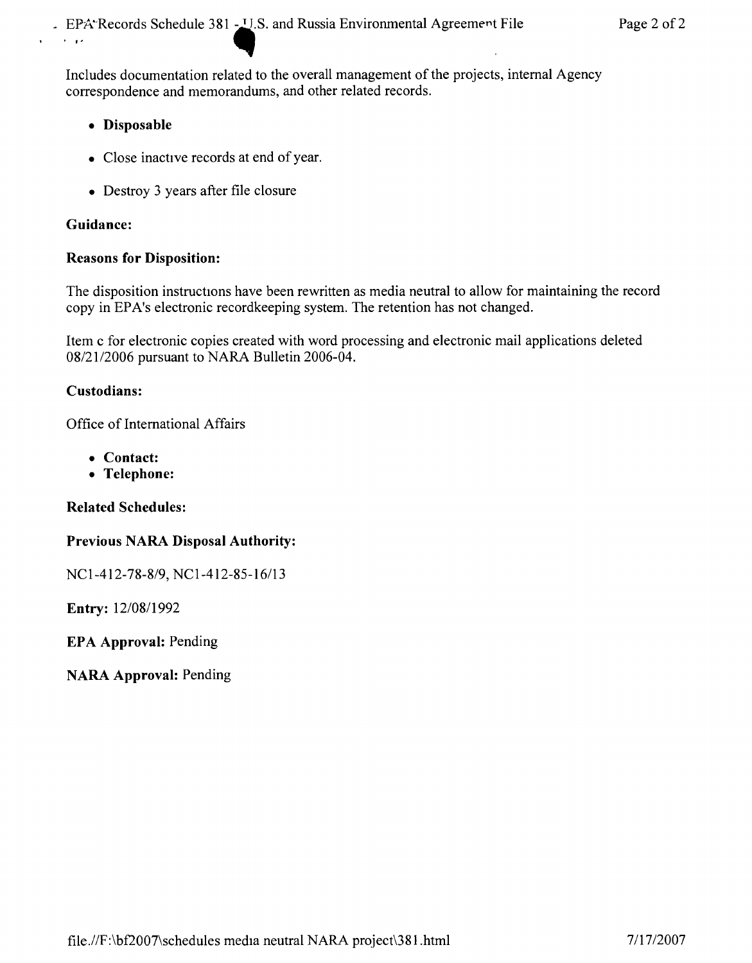Includes documentation related to the overall management of the projects, internal Agency correspondence and memorandums, and other related records.

- **• Disposable**
- Close inactive records at end of year.
- Destroy 3 years after file closure

## **Guidance:**

## **Reasons for Disposition:**

The disposition instructions have been rewritten as media neutral to allow for maintaining the record copy in EPA's electronic recordkeeping system. The retention has not changed.

Item c for electronic copies created with word processing and electronic mail applications deleted *08/21/2006* pursuant to NARA Bulletin 2006-04.

## **Custodians:**

Office of International Affairs

- **• Contact:**
- **• Telephone:**

**Related Schedules:**

## **Previous NARA Disposal Authority:**

*NCI-412-78-8/9, NCI-412-85-16/13*

**Entry:** *12/0811992*

**EPA Approval:** Pending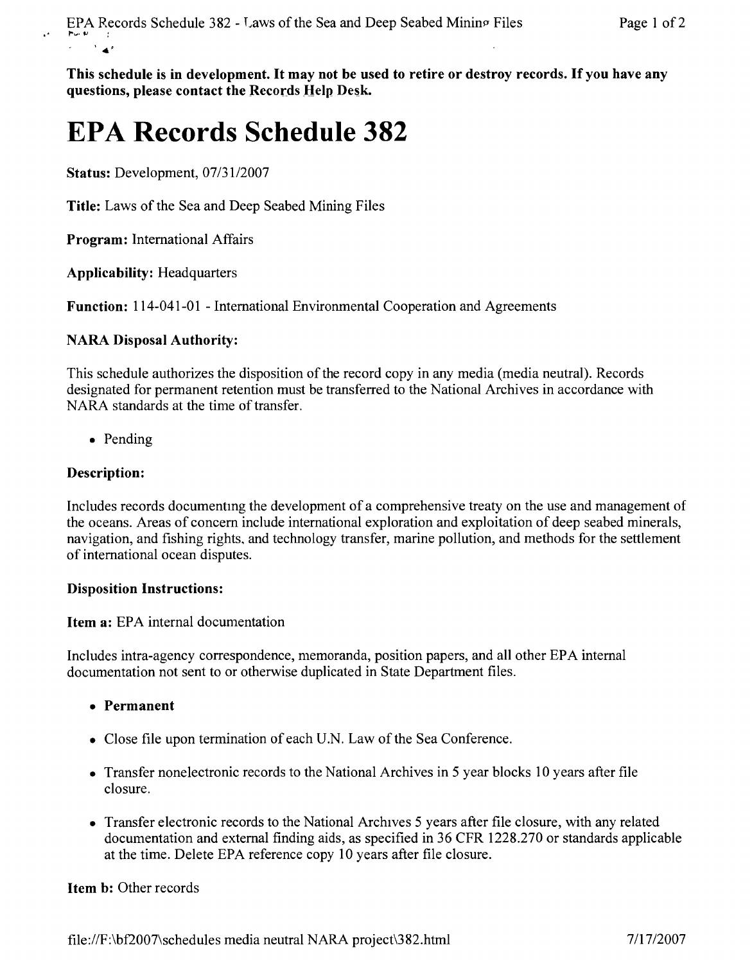This schedule is in development. It may not be used to retire or destroy records. If you have any questions, please contact the Records Help Desk,

# **EPA Records Schedule 382**

Status: Development, *07/3112007*

Title: Laws of the Sea and Deep Seabed Mining Files

Program: International Affairs

Applicability: Headquarters

Function: 114-041-01 - International Environmental Cooperation and Agreements

### NARA Disposal Authority:

This schedule authorizes the disposition of the record copy in any media (media neutral). Records designated for permanent retention must be transferred to the National Archives in accordance with NARA standards at the time of transfer.

• Pending

## Description:

Includes records documenting the development of a comprehensive treaty on the use and management of the oceans. Areas of concern include international exploration and exploitation of deep seabed minerals, navigation, and fishing rights. and technology transfer, marine pollution, and methods for the settlement of international ocean disputes.

#### Disposition Instructions:

Item a: EPA internal documentation

Includes intra-agency correspondence, memoranda, position papers, and all other EPA internal documentation not sent to or otherwise duplicated in State Department files.

- • Permanent
- Close file upon termination of each U.N. Law of the Sea Conference.
- Transfer nonelectronic records to the National Archives in 5 year blocks 10 years after file closure.
- Transfer electronic records to the National Archives 5 years after file closure, with any related documentation and external finding aids, as specified in 36 CFR 1228.270 or standards applicable at the time. Delete EPA reference copy 10 years after file closure.

#### Item b: Other records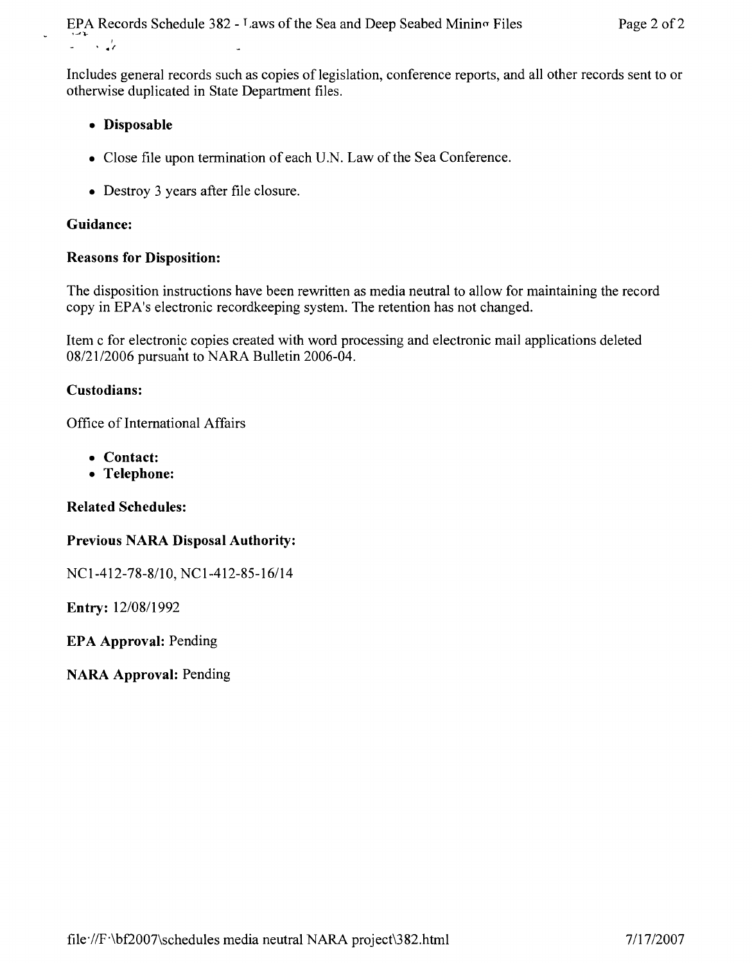Includes general records such as copies of legislation, conference reports, and all other records sent to or otherwise duplicated in State Department files.

- **• Disposable**
- Close file upon termination of each U.N. Law of the Sea Conference.
- Destroy 3 years after file closure.

## **Guidance:**

### **Reasons for Disposition:**

The disposition instructions have been rewritten as media neutral to allow for maintaining the record copy in EPA's electronic recordkeeping system. The retention has not changed.

Item c for electronic copies created with word processing and electronic mail applications deleted *08/2112006* pursuant to NARA Bulletin 2006-04.

### **Custodians:**

Office of International Affairs

- **• Contact:**
- **• Telephone:**

**Related Schedules:**

#### **Previous NARA Disposal Authority:**

NC1-412-78-8/10, NC1-412-85-16/14

**Entry:** *12/08/1992*

**EPA Approval:** Pending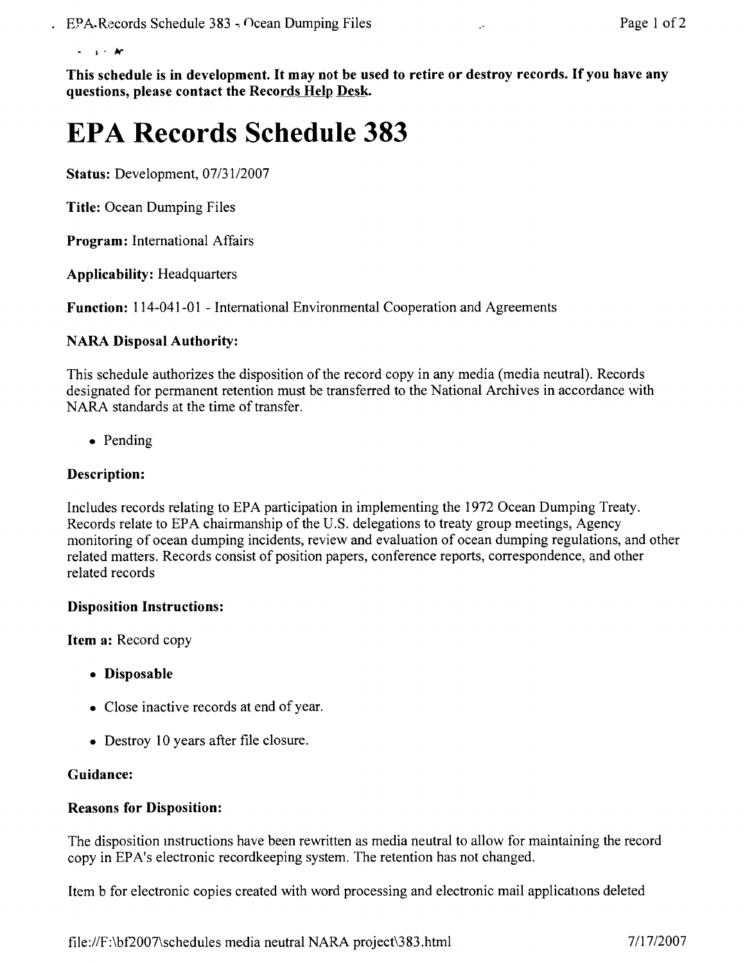• I' */I('*

This schedule is in development. It may not be used to retire or destroy records. If you have any questions, please contact the Records Help Desk.

# **EPA Records Schedule 383**

Status: Development, *07/31/2007*

Title: Ocean Dumping Files

Program: International Affairs

Applicability: Headquarters

Function: 114-041-01 - International Environmental Cooperation and Agreements

#### NARA Disposal Authority:

This schedule authorizes the disposition of the record copy in any media (media neutral). Records designated for permanent retention must be transferred to the National Archives in accordance with NARA standards at the time of transfer.

• Pending

#### Description:

Includes records relating to EPA participation in implementing the 1972 Ocean Dumping Treaty. Records relate to EPA chairmanship of the U.S. delegations to treaty group meetings, Agency monitoring of ocean dumping incidents, review and evaluation of ocean dumping regulations, and other related matters. Records consist of position papers, conference reports, correspondence, and other related records

#### Disposition Instructions:

Item a: Record copy

- Disposable
- Close inactive records at end of year.
- Destroy 10 years after file closure.

#### Guidance:

#### Reasons for Disposition:

The disposition mstructions have been rewritten as media neutral to allow for maintaining the record copy in EPA's electronic recordkeeping system. The retention has not changed.

Item b for electronic copies created with word processing and electronic mail applications deleted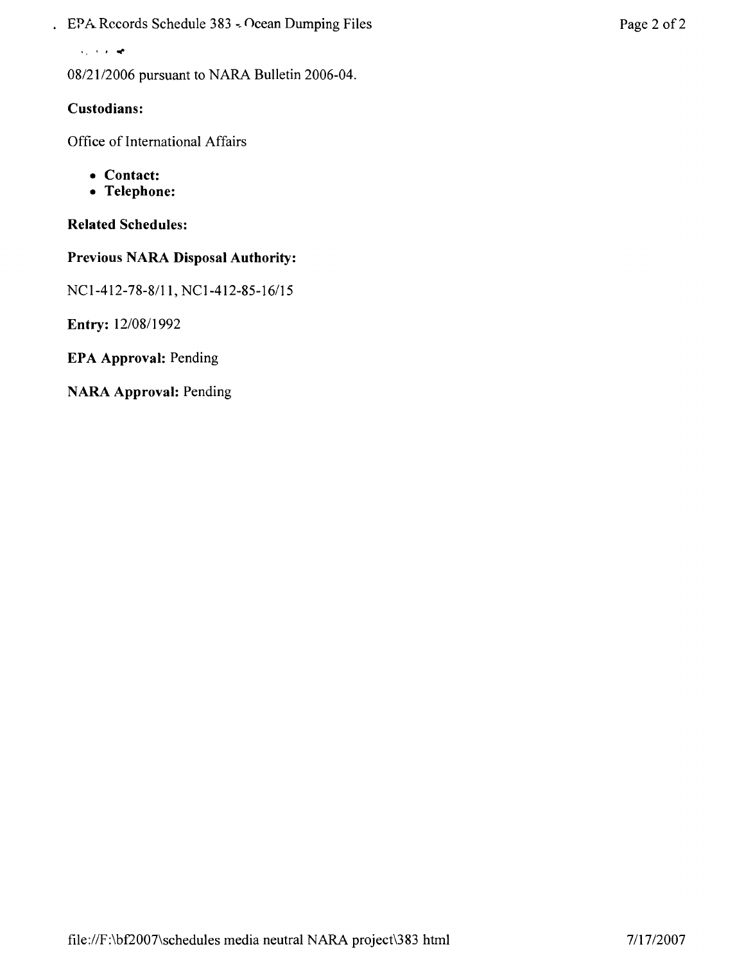. EPA Records Schedule 383 - Ocean Dumping Files Page 2 of 2

 $v = \sqrt{1 + \epsilon^2}$ 

08/21/2006 pursuant to NARA Bulletin 2006-04.

## **Custodians:**

Office of International Affairs

- **• Contact:**
- **• Telephone:**

### **Related Schedules:**

### **Previous NARA Disposal Authority:**

NCI-412-78-8111, *NCl-412-85-16115*

**Entry:** 12/08/1992

**EPA Approval:** Pending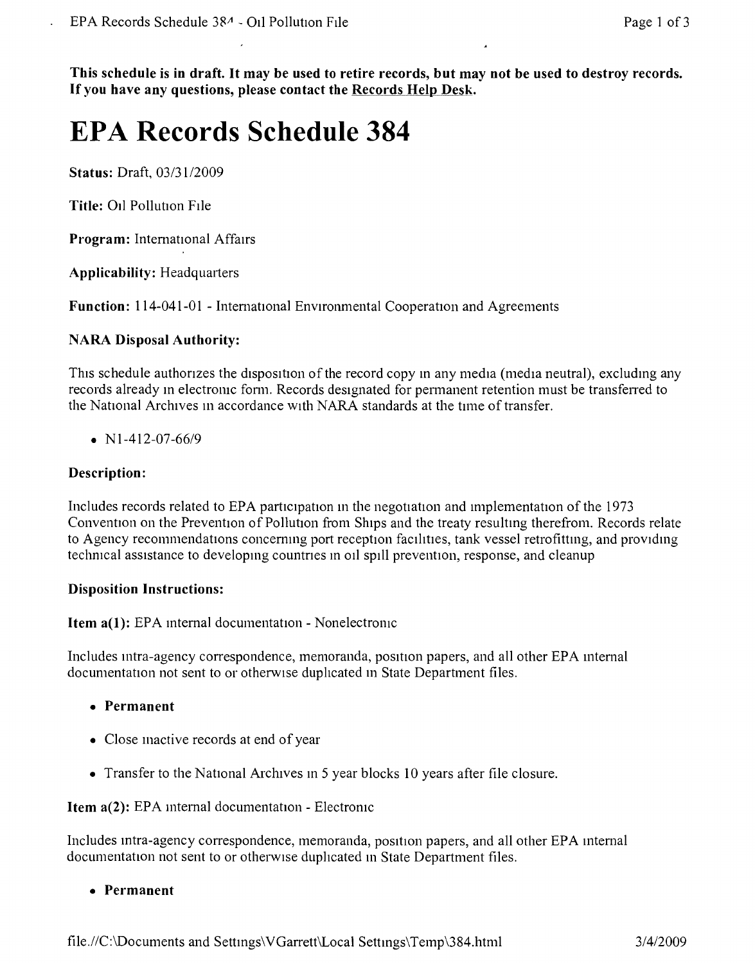This schedule is in draft. It may be used to retire records, but may not be used to destroy records. If you have any questions, please contact the Records Help Desk.

## **EPA Records Schedule 384**

**Status: Draft, 03/31/2009** 

Title: 011 Pollution Flle

Program: International Affairs

Applicability: Headquarters

Function: 114-041-01 - Intemational Environmental Cooperation and Agreements

#### NARA Disposal Authority:

This schedule authorizes the disposition of the record copy in any media (media neutral), excluding any records already in electronic form. Records designated for permanent retention must be transferred to the National Archives m accordance With NARA standards at the time of transfer.

•  $N1-412-07-66/9$ 

#### Description:

Includes records related to EPA participation in the negotiation and implementation of the 1973 Convention on the Prevention of Pollution from Ships and the treaty resultmg therefrom. Records relate to Agency recommendations concernmg port reception facihties, tank vessel retrofittmg, and providing technical assistance to developing countnes m 011 spill prevention, response, and cleanup

#### Disposition Instructions:

Item a(1): EPA internal documentation - Nonelectronic

Includes intra-agency correspondence, memoranda, position papers, and all other EPA mternal documentation not sent to or otherwise duplicated m State Department files.

- Permanent
- Close mactive records at end of year
- Transfer to the National Archives m 5 year blocks 10 years after file closure.

Item a(2): EPA mtemal documentation - Electronic

Includes intra-agency correspondence, memoranda, position papers, and all other EPA internal documentation not sent to or otherwise duplicated in State Department files.

• Permanent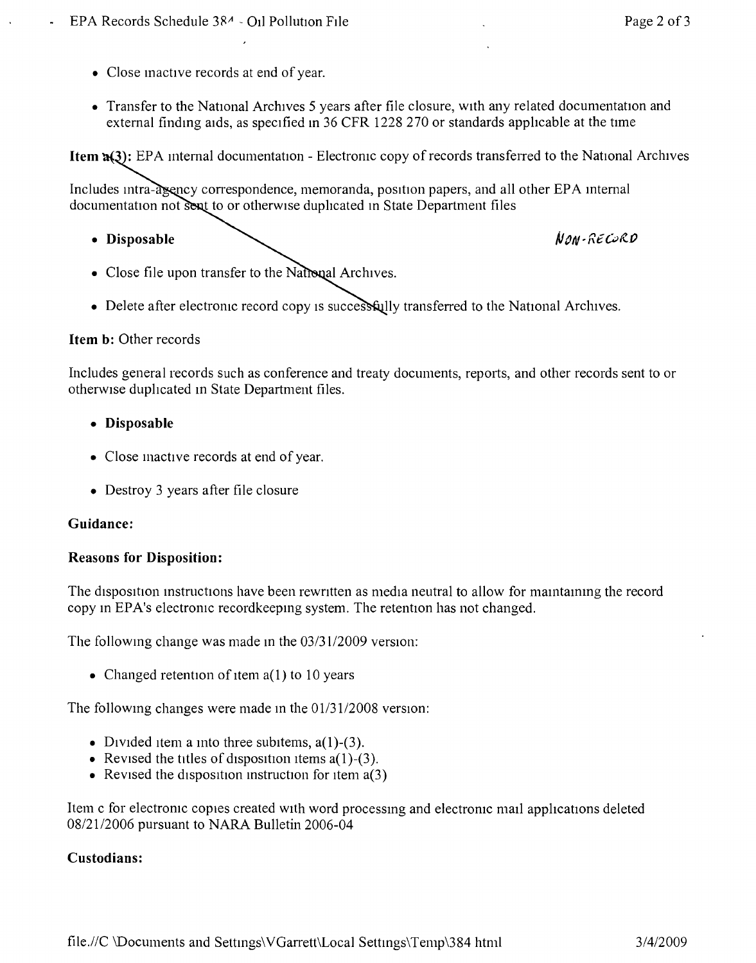- Close inactive records at end of year.
- Transfer to the National Archives 5 years after file closure, with any related documentation and external finding aids, as specified in 36 CFR 1228 270 or standards applicable at the time

**Item <b>1**(3): EPA internal documentation - Electronic copy of records transferred to the National Archives

Includes intra-asency correspondence, memoranda, position papers, and all other EPA internal documentation not sent to or otherwise duplicated in State Department files

**• Disposable**

NON-RECORD

- Close file upon transfer to the National Archives.
- Delete after electronic record copy is successfully transferred to the National Archives.

#### **Item b:** Other records

Includes general records such as conference and treaty documents, reports, and other records sent to or otherwise duplicated in State Department files.

- **• Disposable**
- Close mactive records at end of year.
- Destroy 3 years after file closure

#### **Guidance:**

#### **Reasons for Disposition:**

The disposition instructions have been rewntten as media neutral to allow for maintammg the record copy in EPA's electronic recordkeeping system. The retention has not changed.

The following change was made in the 03/31/2009 version:

• Changed retention of item a(1) to 10 years

The following changes were made m the *0113112008* version:

- Divided item a into three subitems,  $a(1)$ -(3).
- Revised the titles of disposition items  $a(1)$ -(3).
- Revised the disposition instruction for item  $a(3)$

Item c for electronic copies created with word processing and electroruc mall applications deleted *08/2112006* pursuant to NARA Bulletin 2006-04

#### **Custodians:**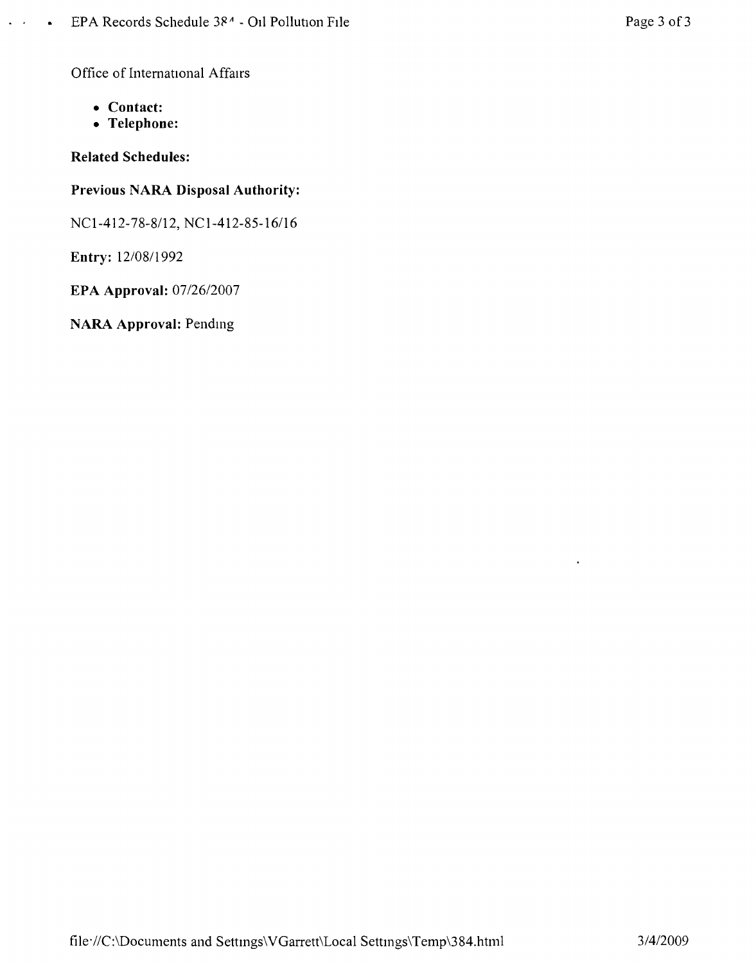Office of International Affairs

**• Contact:**

 $\overline{a}$  .

 $\bullet$ 

**• Telephone:**

**Related Schedules:**

## **Previous NARA Disposal Authority:**

*NC1-412-78-8/12,* NC1-412-85-16116

**Entry:** *12/0811992*

**EPA Approval:** *07/26/2007*

**NARA Approval:** Pending

 $\overline{a}$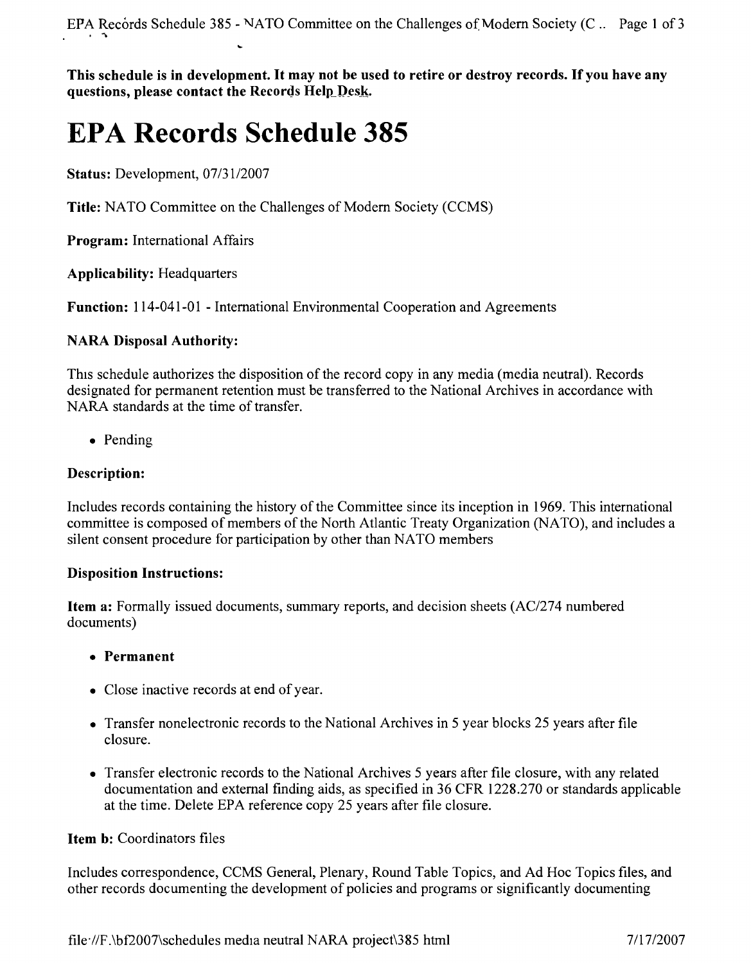This schedule is in development. It may not be used to retire or destroy records. If you have any **questions, please contact the** Records Help Desk.

# **EPA Records Schedule 385**

**Status:** Development, *07/3112007*

**Title:** NATO Committee on the Challenges of Modern Society (CCMS)

**Program:** International Affairs

**Applicability:** Headquarters

**Function:** 114-041-01 - International Environmental Cooperation and Agreements

### **NARA Disposal Authority:**

This schedule authorizes the disposition of the record copy in any media (media neutral). Records designated for permanent retention must be transferred to the National Archives in accordance with NARA standards at the time of transfer.

• Pending

## **Description:**

Includes records containing the history of the Committee since its inception in 1969. This international committee is composed of members of the North Atlantic Treaty Organization (NATO), and includes a silent consent procedure for participation by other than NATO members

#### **Disposition Instructions:**

**Item a:** Formally issued documents, summary reports, and decision sheets *(AC/274* numbered documents)

## **• Permanent**

- Close inactive records at end of year.
- Transfer nonelectronic records to the National Archives in 5 year blocks 25 years after file closure.
- Transfer electronic records to the National Archives 5 years after file closure, with any related documentation and external finding aids, as specified in 36 CFR 1228.270 or standards applicable at the time. Delete EPA reference copy 25 years after file closure.

## **Item b:** Coordinators files

Includes correspondence, CCMS General, Plenary, Round Table Topics, and Ad Hoc Topics files, and other records documenting the development of policies and programs or significantly documenting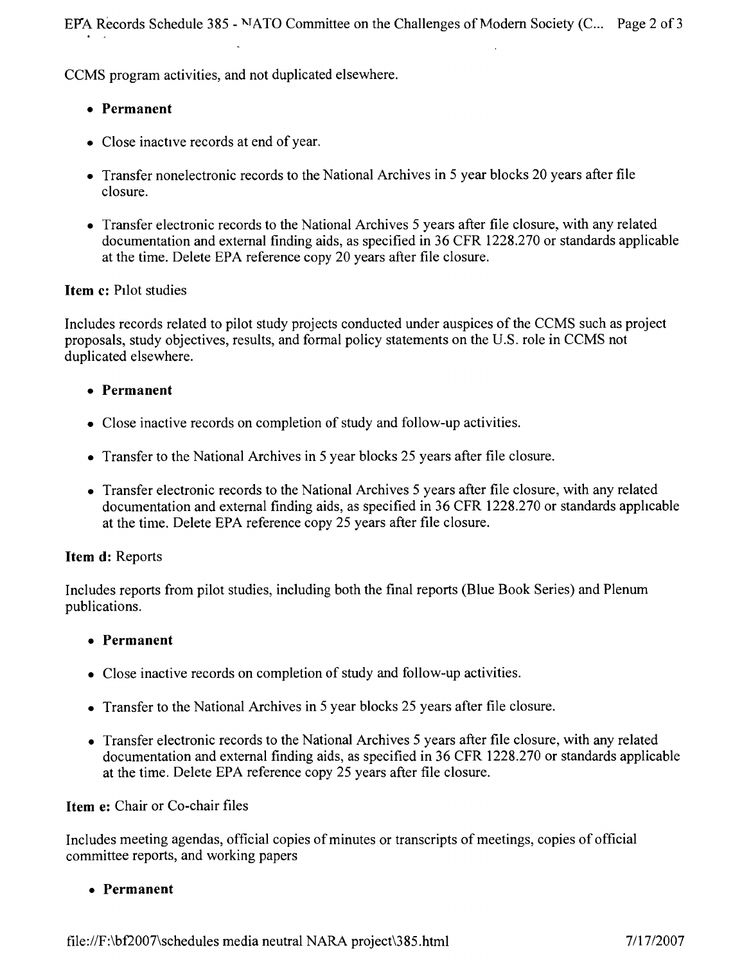EPA Records Schedule 385 - NATO Committee on the Challenges of Modern Society (C... Page 2 of 3

CCMS program activities, and not duplicated elsewhere.

## **• Permanent**

- Close inactive records at end of year.
- Transfer nonelectronic records to the National Archives in 5 year blocks 20 years after file closure.
- Transfer electronic records to the National Archives 5 years after file closure, with any related documentation and external finding aids, as specified in 36 CFR 1228.270 or standards applicable at the time. Delete EPA reference copy 20 years after file closure.

## **Item** c: PIlot studies

Includes records related to pilot study projects conducted under auspices of the CCMS such as project proposals, study objectives, results, and formal policy statements on the U.S. role in CCMS not duplicated elsewhere.

## **• Permanent**

- Close inactive records on completion of study and follow-up activities.
- Transfer to the National Archives in 5 year blocks 25 years after file closure.
- Transfer electronic records to the National Archives 5 years after file closure, with any related documentation and external finding aids, as specified in 36 CFR 1228.270 or standards apphcable at the time. Delete EPA reference copy 25 years after file closure.

## **Item d:** Reports

Includes reports from pilot studies, including both the final reports (Blue Book Series) and Plenum publications.

## **• Permanent**

- Close inactive records on completion of study and follow-up activities.
- Transfer to the National Archives in 5 year blocks 25 years after file closure.
- Transfer electronic records to the National Archives 5 years after file closure, with any related documentation and external finding aids, as specified in 36 CFR 1228.270 or standards applicable at the time. Delete EPA reference copy 25 years after file closure.

## **Item** e: Chair or Co-chair files

Includes meeting agendas, official copies of minutes or transcripts of meetings, copies of official committee reports, and working papers

**• Permanent**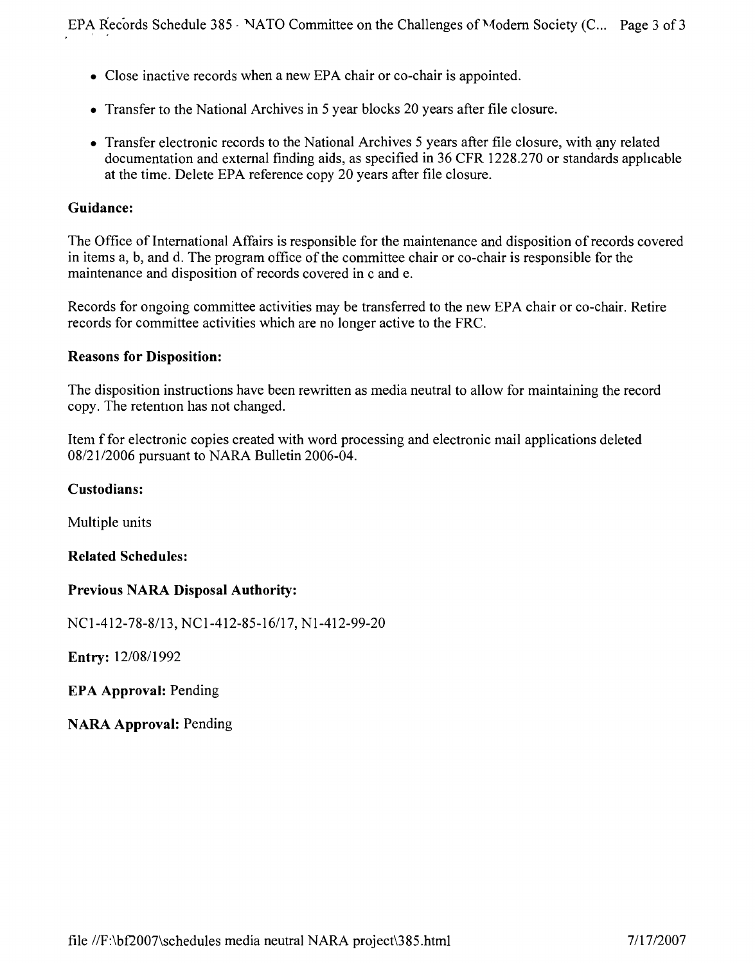- Close inactive records when a new EPA chair or co-chair is appointed.
- Transfer to the National Archives in 5 year blocks 20 years after file closure.
- Transfer electronic records to the National Archives 5 years after file closure, with any related documentation and external finding aids, as specified in 36 CFR 1228.270 or standards apphcable at the time. Delete EPA reference copy 20 years after file closure.

#### **Guidance:**

The Office of International Affairs is responsible for the maintenance and disposition of records covered in items a, b, and d. The program office of the committee chair or co-chair is responsible for the maintenance and disposition of records covered in c and e.

Records for ongoing committee activities may be transferred to the new EPA chair or co-chair. Retire records for committee activities which are no longer active to the FRC.

#### **Reasons for Disposition:**

The disposition instructions have been rewritten as media neutral to allow for maintaining the record copy. The retention has not changed.

Item f for electronic copies created with word processing and electronic mail applications deleted *08/2112006* pursuant to NARA Bulletin 2006-04.

#### **Custodians:**

Multiple units

#### **Related Schedules:**

#### **Previous NARA Disposal Authority:**

*NCI-412-78-8113, NCI-412-85-16117,* NI-412-99-20

**Entry:** *12/0811992*

**EPA Approval:** Pending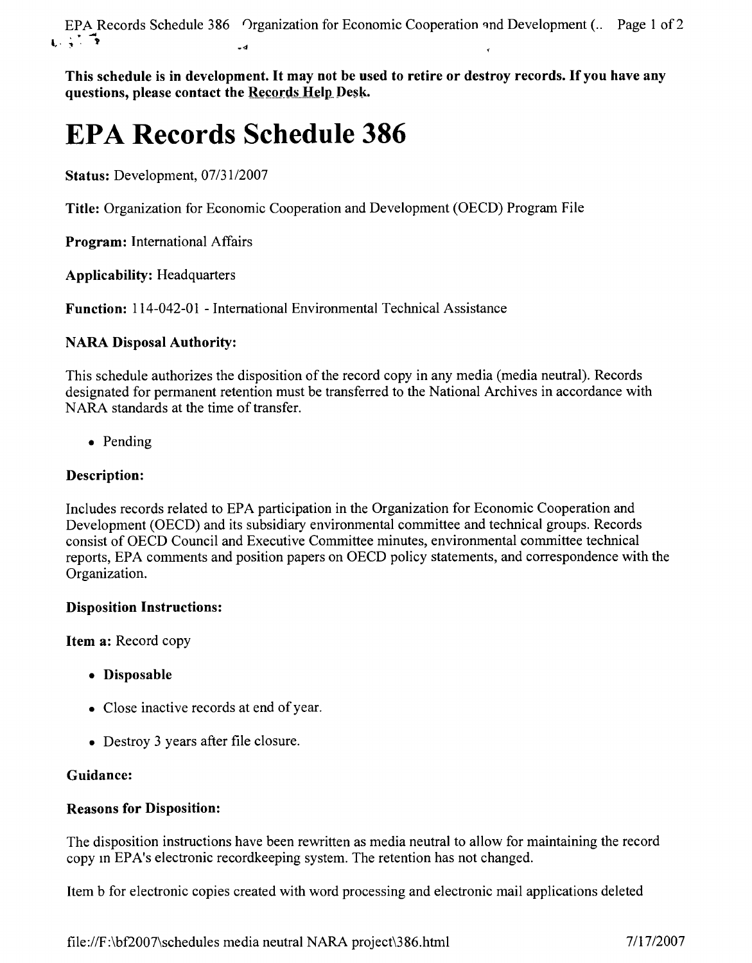EPA Records Schedule 386 Organization for Economic Cooperation and Development (.. Page 1 of 2  $r \cdot \overline{r}$ 

This schedule is in development. It may not be used to retire or destroy records. If you have any **questions, please contact the Records Help Desk.** 

# **EPA Records Schedule 386**

**Status:** Development, *07/3112007*

**Title:** Organization for Economic Cooperation and Development (OECD) Program File

**Program:** International Affairs

**Applicability:** Headquarters

**Function:** 114-042-01 - International Environmental Technical Assistance

## **NARA Disposal Authority:**

This schedule authorizes the disposition of the record copy in any media (media neutral). Records designated for permanent retention must be transferred to the National Archives in accordance with NARA standards at the time of transfer.

• Pending

## **Description:**

Includes records related to EPA participation in the Organization for Economic Cooperation and Development (OECD) and its subsidiary environmental committee and technical groups. Records consist of OECD Council and Executive Committee minutes, environmental committee technical reports, EPA comments and position papers on OECD policy statements, and correspondence with the Organization.

## **Disposition Instructions:**

**Item a:** Record copy

- **• Disposable**
- Close inactive records at end of year.
- Destroy 3 years after file closure.

## **Guidance:**

## **Reasons for Disposition:**

The disposition instructions have been rewritten as media neutral to allow for maintaining the record copy in EPA's electronic recordkeeping system. The retention has not changed.

Item b for electronic copies created with word processing and electronic mail applications deleted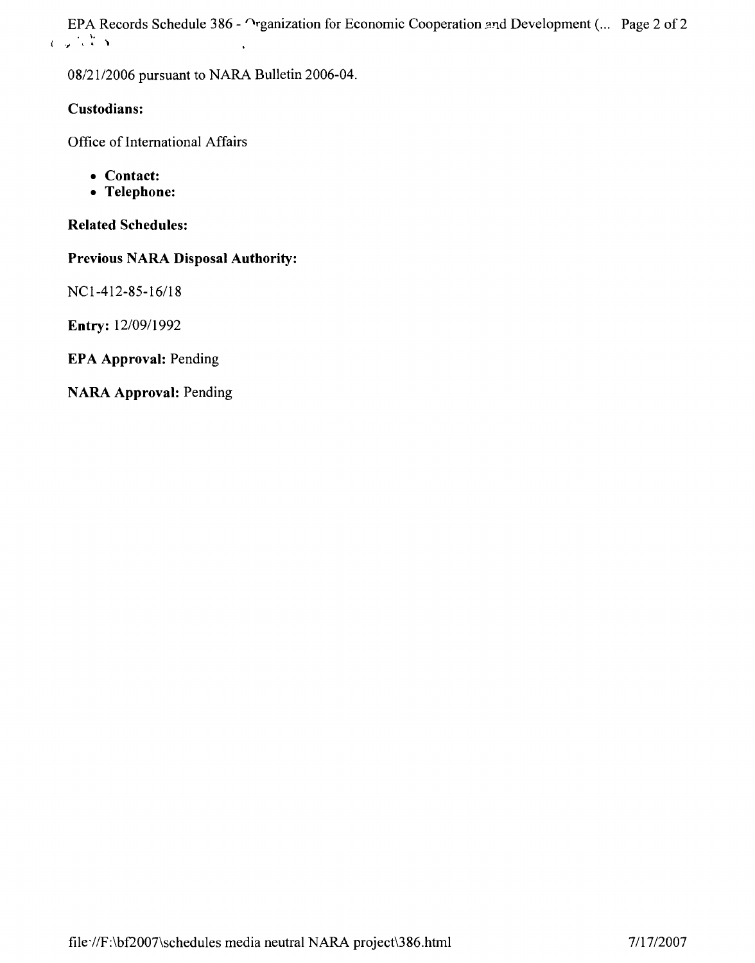EPA Records Schedule 386 -  $\cap$ rganization for Economic Cooperation and Development (... Page 2 of 2  $\ell$  .  $\mu$   $\rightarrow$   $\lambda$   $\rightarrow$ 

*08/2112006* pursuant to NARA Bulletin 2006-04.

### **Custodians:**

Office of International Affairs

- **• Contact:**
- **• Telephone:**

**Related Schedules:**

**Previous NARA Disposal Authority:**

NCI-412-85-16/18

**Entry:** *12/09/1992*

**EPA Approval:** Pending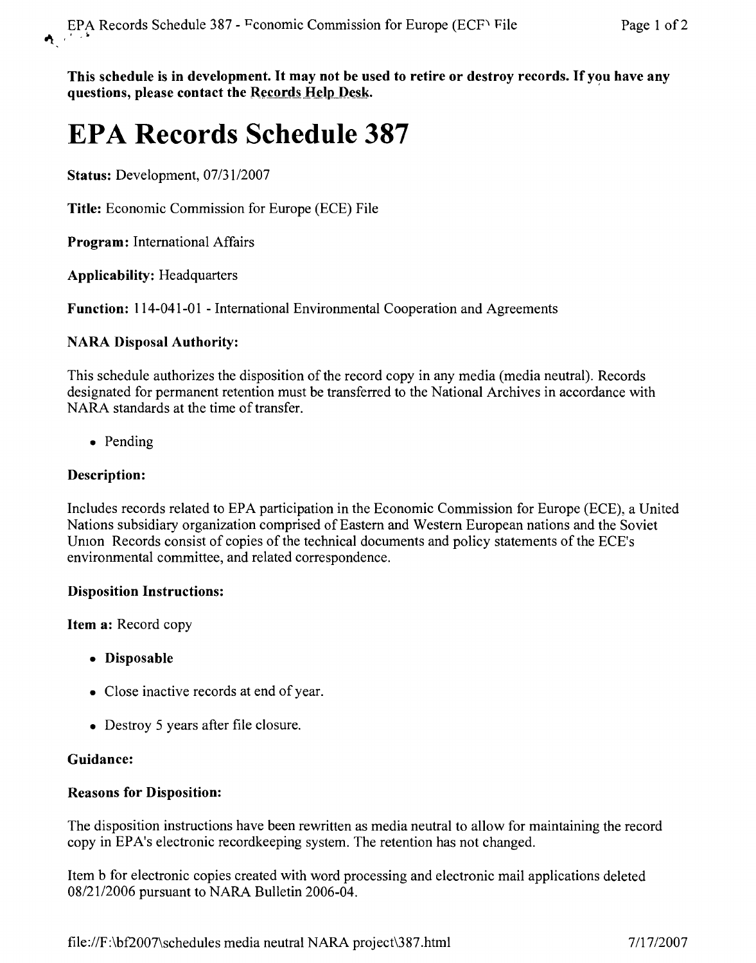This schedule is in development. It may not be used to retire or destroy records. If you have any questions, please contact the Records Help Desk.

# **EPA Records Schedule 387**

Status: Development, *07/3112007*

Title: Economic Commission for Europe (ECE) File

Program: International Affairs

Applicability: Headquarters

Function: 114-041-01 - International Environmental Cooperation and Agreements

## NARA Disposal Authority:

This schedule authorizes the disposition of the record copy in any media (media neutral). Records designated for permanent retention must be transferred to the National Archives in accordance with NARA standards at the time of transfer.

• Pending

## Description:

Includes records related to EPA participation in the Economic Commission for Europe (ECE), a United Nations subsidiary organization comprised of Eastern and Western European nations and the Soviet Umon Records consist of copies of the technical documents and policy statements of the ECE's environmental committee, and related correspondence.

#### Disposition Instructions:

Item a: Record copy

- Disposable
- Close inactive records at end of year.
- Destroy 5 years after file closure.

## Guidance:

## Reasons for Disposition:

The disposition instructions have been rewritten as media neutral to allow for maintaining the record copy in EPA's electronic recordkeeping system. The retention has not changed.

Item b for electronic copies created with word processing and electronic mail applications deleted *08/2112006* pursuant to NARA Bulletin 2006-04.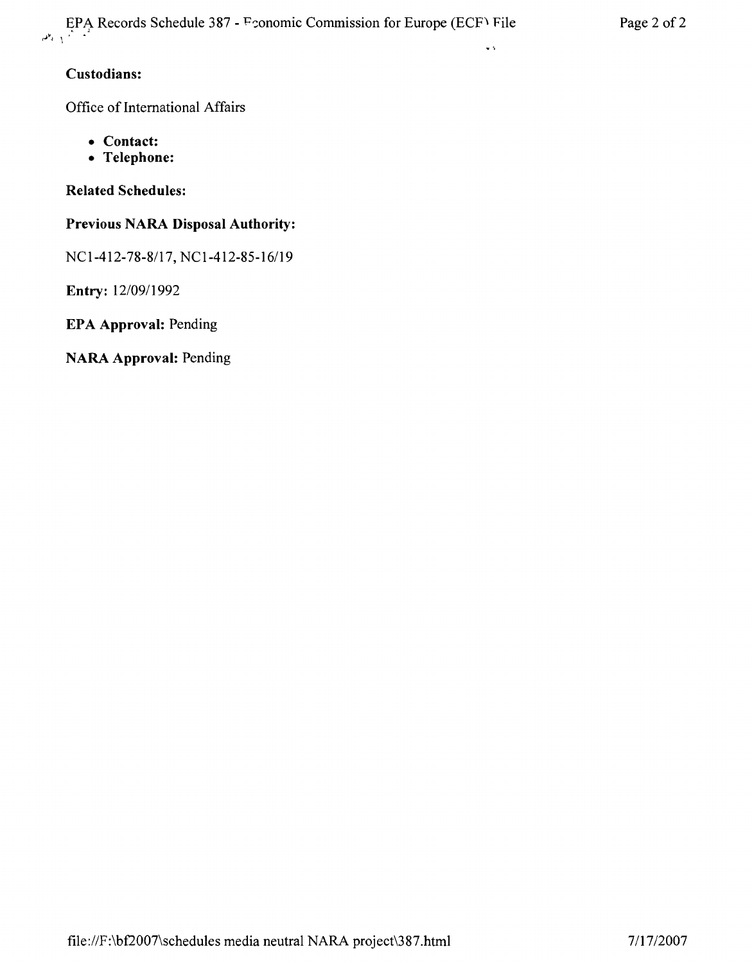## **Custodians:**

Office of International Affairs

- **• Contact:**
- **• Telephone:**

**Related Schedules:**

## **Previous NARA Disposal Authority:**

NCI-412-78-8/17, NCI-412-85-16/19

**Entry:** *12/09/1992*

**EPA Approval:** Pending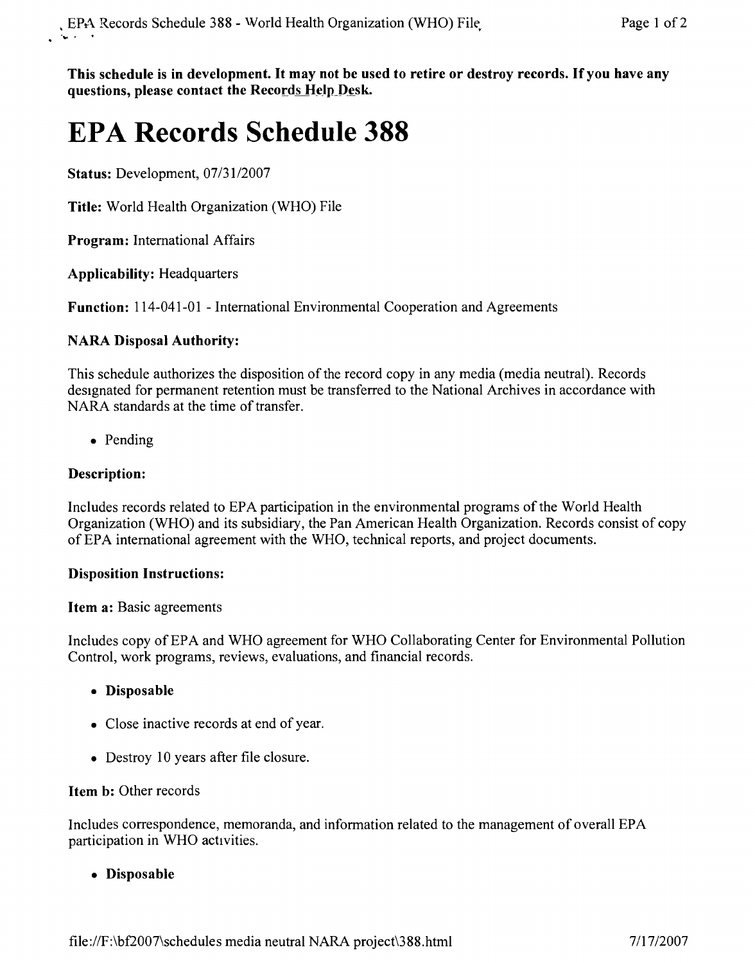**This schedule is in development. It may not be used to retire or destroy records.** If you **have any questions, please contact the** RecordsHelpDesk,

# **EPA Records Schedule 388**

**Status:** Development, *07/3112007*

**Title:** World Health Organization (WHO) File

**Program:** International Affairs

**Applicability:** Headquarters

**Function:** 114-041-01 - International Environmental Cooperation and Agreements

## **NARA Disposal Authority:**

This schedule authorizes the disposition of the record copy in any media (media neutral). Records designated for permanent retention must be transferred to the National Archives in accordance with NARA standards at the time of transfer.

• Pending

## **Description:**

Includes records related to EPA participation in the environmental programs of the World Health Organization (WHO) and its subsidiary, the Pan American Health Organization. Records consist of copy of EPA international agreement with the WHO, technical reports, and project documents.

## **Disposition Instructions:**

## **Item a:** Basic agreements

Includes copy of EPA and WHO agreement for WHO Collaborating Center for Environmental Pollution Control, work programs, reviews, evaluations, and financial records.

- **• Disposable**
- Close inactive records at end of year.
- Destroy 10 years after file closure.

## **Item b:** Other records

Includes correspondence, memoranda, and information related to the management of overall EPA participation in WHO activities.

**• Disposable**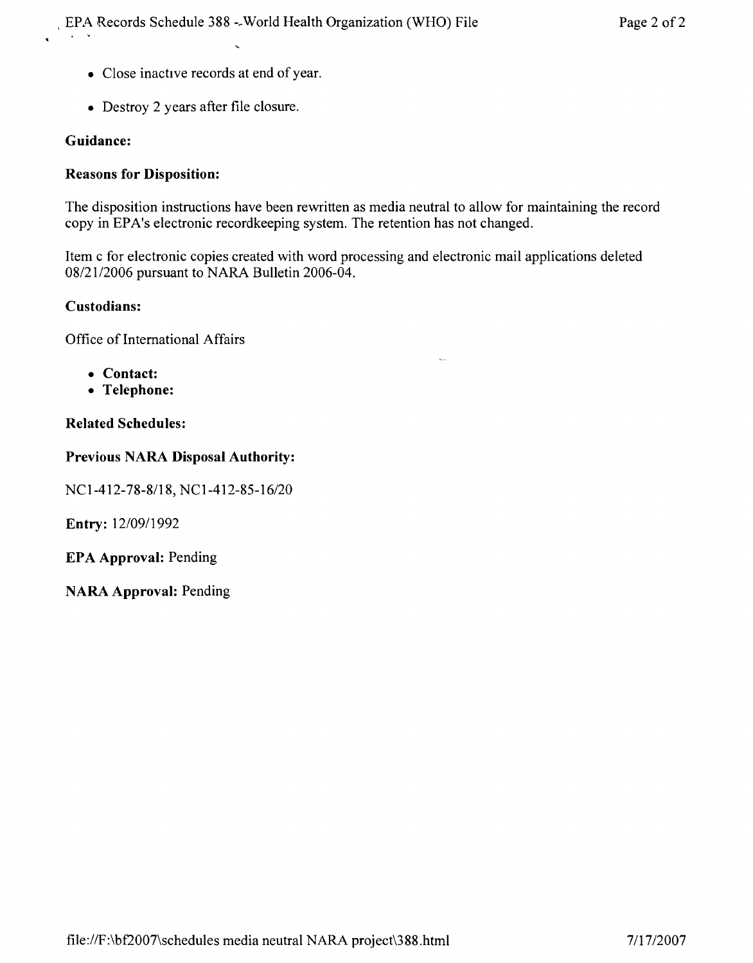- Close inactive records at end of year.
- Destroy 2 years after file closure.

#### **Guidance:**

#### **Reasons for Disposition:**

The disposition instructions have been rewritten as media neutral to allow for maintaining the record copy in EPA's electronic recordkeeping system. The retention has not changed.

Item c for electronic copies created with word processing and electronic mail applications deleted *08/21/2006* pursuant to NARA Bulletin 2006-04.

#### **Custodians:**

Office of International Affairs

- **• Contact:**
- **• Telephone:**

#### **Related Schedules:**

#### **Previous NARA Disposal Authority:**

NCI-412-78-8118, *NCI-412-85-16/20*

**Entry:** *12/0911992*

**EPA Approval:** Pending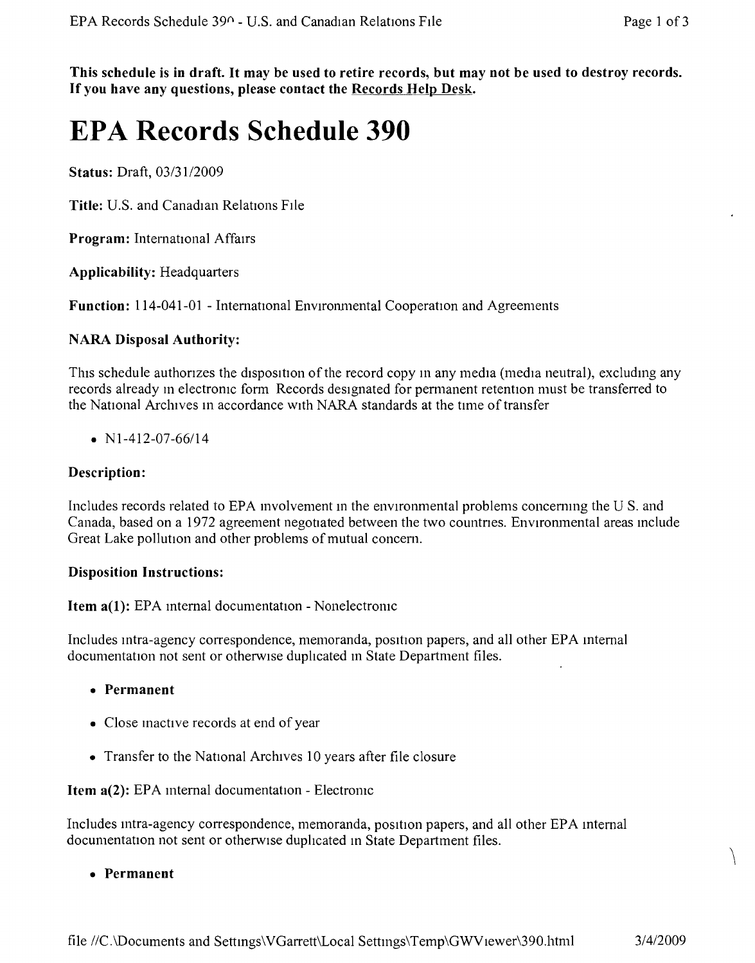This schedule is in draft. It may be used to retire records, but may not be used to destroy records. **If you have any questions, please contact the Records Help Desk.**

## **EPA Records Schedule 390**

**Status:** Draft, *03/31/2009*

**Title:** U.S. and Canadian Relations File

**Program:** International Affairs

**Applicability:** Headquarters

Function: 114-041-01 - International Environmental Cooperation and Agreements

#### **NARA Disposal Authority:**

This schedule authorizes the disposition of the record copy in any media (media neutral), excluding any records already m electronic form Records designated for permanent retention must be transferred to the National Archives in accordance with NARA standards at the time of transfer

*• Nl-412-07-66114*

#### **Description:**

Includes records related to EPA involvement in the environmental problems concerning the U S. and Canada, based on a 1972 agreement negotiated between the two countnes. Environmental areas mclude Great Lake pollution and other problems of mutual concern.

#### **Disposition Instructions:**

**Item a(1):** EPA internal documentation - Nonelectronic

Includes intra-agency correspondence, memoranda, position papers, and all other EPA internal documentation not sent or otherwise duplicated in State Department files.

- **• Permanent**
- Close inactive records at end of year
- Transfer to the National Archives 10 years after file closure

**Item a(2):** EPA mternal documentation - Electromc

Includes intra-agency correspondence, memoranda, position papers, and all other EPA internal documentation not sent or otherwise duplicated in State Department files.

\ **• Permanent**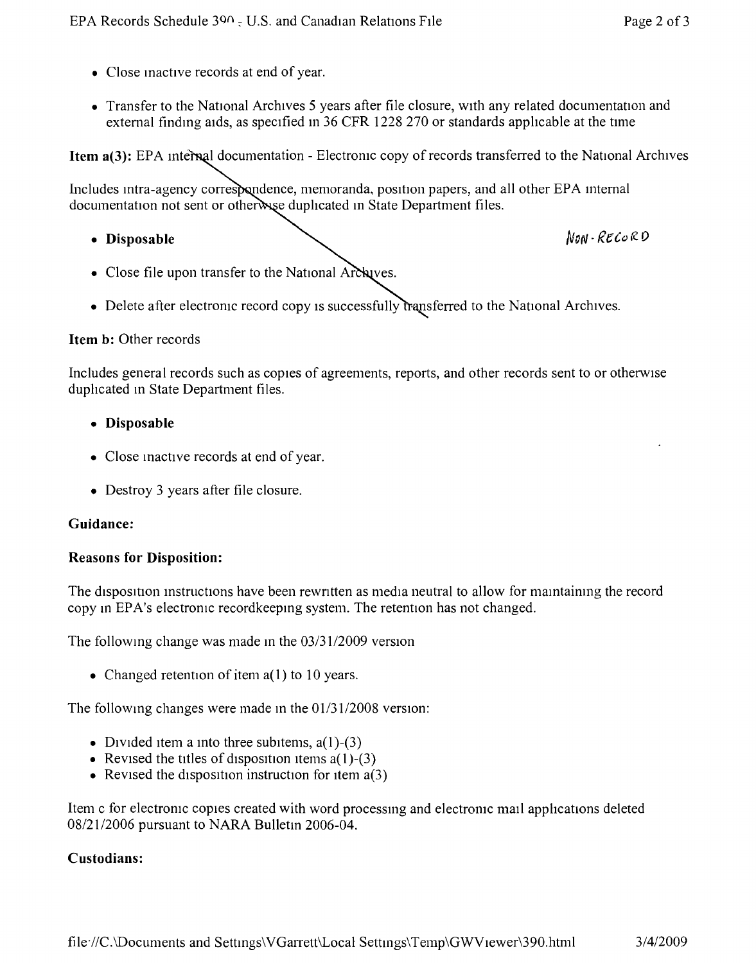- Close inactive records at end of year.
- Transfer to the National Archives 5 years after file closure, with any related documentation and extemal finding aids, as specified In 36 CFR 1228 270 or standards apphcable at the time

**Item a(3):** EPA internal documentation - Electronic copy of records transferred to the National Archives

Includes intra-agency correspondence, memoranda, position papers, and all other EPA internal documentation not sent or otherwise duplicated in State Department files.

• Disposable *Non-RECORD* 

- Close file upon transfer to the National Archaves.
- Delete after electronic record copy is successfully transferred to the National Archives.

#### **Item b:** Other records

Includes general records such as copies of agreements, reports, and other records sent to or otherwise duplicated in State Department files.

- **• Disposable**
- Close inactive records at end of year.
- Destroy 3 years after file closure.

#### **Guidance:**

#### **Reasons for Disposition:**

The disposition instructions have been rewritten as media neutral to allow for maintaining the record copy in EPA's electronic recordkeeping system. The retention has not changed.

The following change was made in the 03/31/2009 version

• Changed retention of item  $a(1)$  to 10 years.

The following changes were made in the  $01/31/2008$  version:

- Divided item a into three subitems,  $a(1)$ -(3)
- Revised the titles of disposition items  $a(1)$ -(3)
- Revised the disposition instruction for item  $a(3)$

Item c for electronic copies created with word processmg and electronic mall apphcations deleted *08/2112006* pursuant to NARA Bulletm 2006-04.

#### **Custodians:**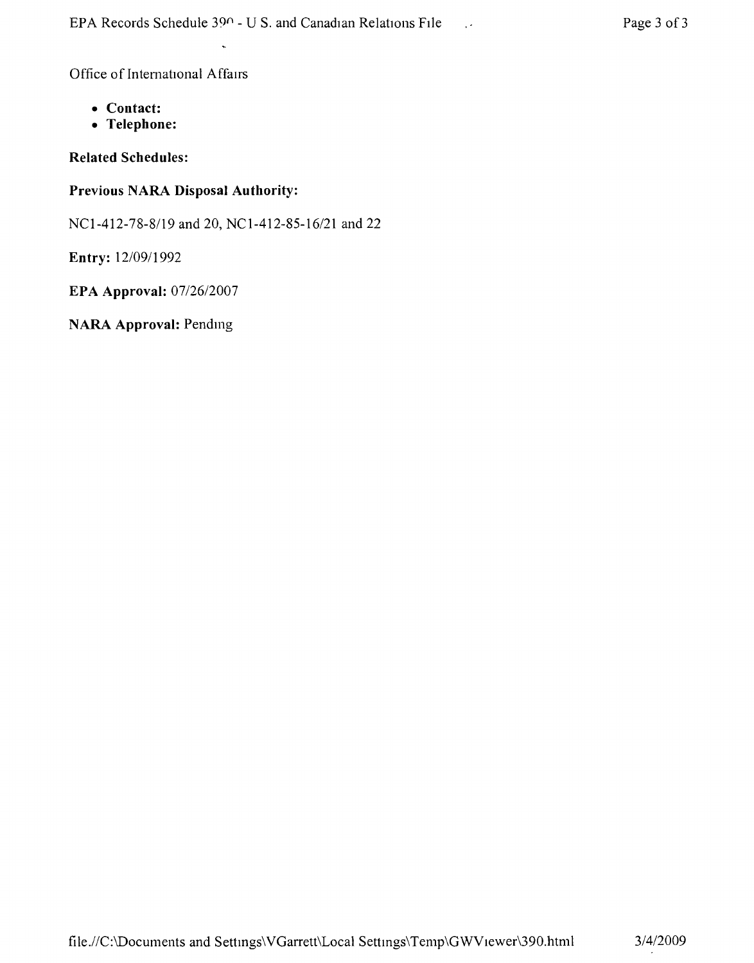Office of International Affairs

- **• Contact:**
- **• Telephone:**

**Related Schedules:**

## **Previous NARA Disposal Authority:**

NCl-412-78-8119 and 20, *NCl-412-85-16/21* and 22

**Entry:** *12/0911992*

**EPA Approval:** *0712612007*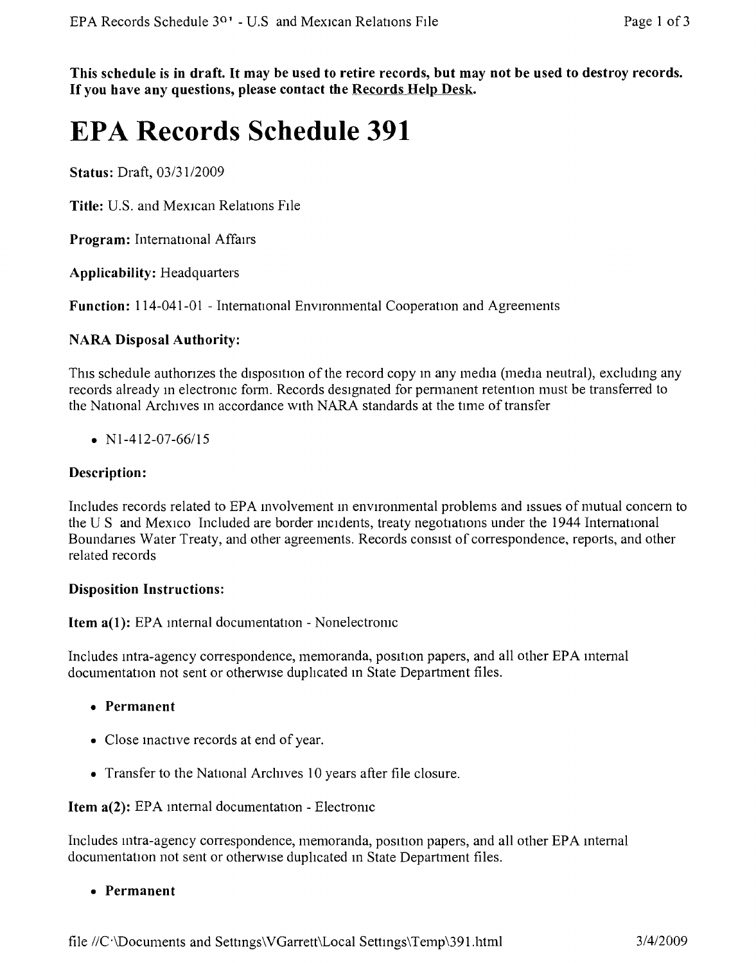This schedule is in draft. It may be used to retire records, but may not be used to destroy records. **If you have any questions, please contact the Records Help Desk.**

## **EPA Records Schedule 391**

**Status:** Draft, *03/3112009*

**Title:** U.S. and Mexican Relations FIle

**Program:** International Affairs

**Applicability:** Headquarters

**Function:** 114-041-01 - International Environmental Cooperation and Agreements

### **NARA Disposal Authority:**

This schedule authorizes the disposition of the record copy in any media (media neutral), excluding any records already in electronic form. Records designated for permanent retention must be transferred to the National Archives m accordance WIth NARA standards at the time of transfer

•  $N1-412-07-66/15$ 

### **Description:**

Includes records related to EPA involvement in environmental problems and issues of mutual concern to the U S and Mexico Included are border incidents, treaty negotiations under the 1944 International Boundanes Water Treaty, and other agreements. Records consist of correspondence, reports, and other related records

#### **Disposition Instructions:**

**Item a(1):** EPA internal documentation - Nonelectronic

Includes intra-agency correspondence, memoranda, posrtion papers, and all other EPA mternal documentation not sent or otherwise duplicated in State Department files.

- **• Permanent**
- Close mactive records at end of year.
- Transfer to the National Arcluves 10 years after file closure.

**Item a(2):** EPA internal documentation - Electronic

Includes intra-agency correspondence, memoranda, position papers, and all other EPA mternal documentation not sent or otherwise duphcated in State Department files.

**• Permanent**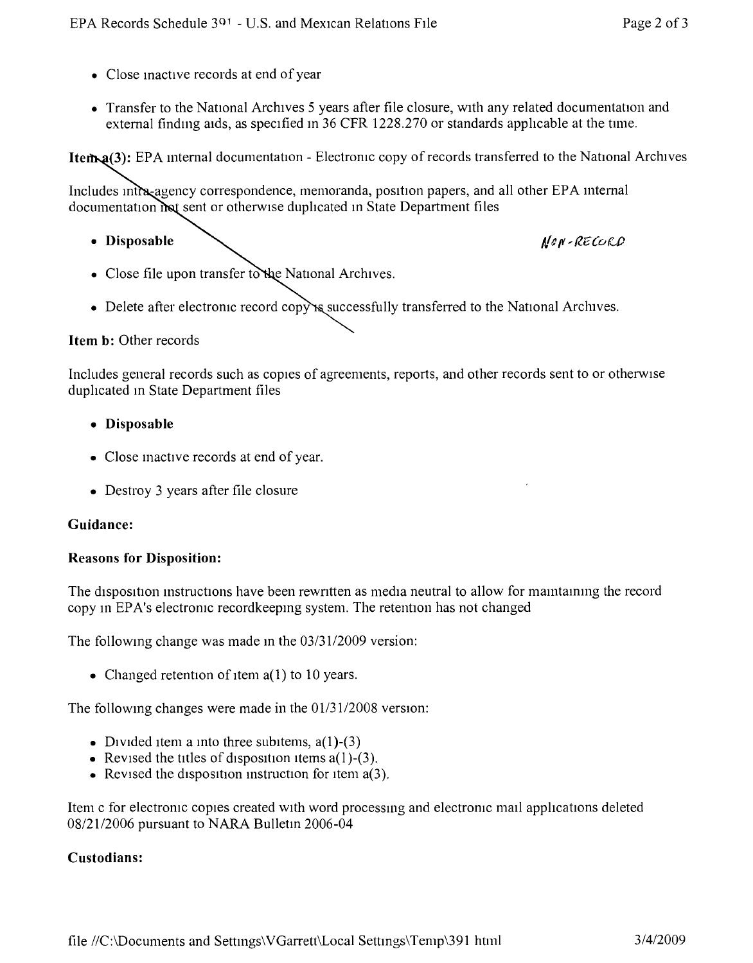- Close inactive records at end of year
- Transfer to the National Archives 5 years after file closure, with any related documentation and external finding aids, as specified in 36 CFR 1228.270 or standards applicable at the time.

Item<sub>2</sub>(3): EPA internal documentation - Electronic copy of records transferred to the National Archives

Includes intra-agency correspondence, memoranda, position papers, and all other EPA internal documentation **Inst** sent or otherwise duplicated in State Department files

• Disposable *<i>/len-RECOLD* 

- Close file upon transfer to the National Archives.
- Delete after electronic record copy is successfully transferred to the National Archives.

### **Item b:** Other records

Includes general records such as copies of agreements, reports, and other records sent to or otherwise duplicated in State Department files

- **• Disposable**
- Close inactive records at end of year.
- Destroy 3 years after file closure

#### **Guidance:**

#### **Reasons for Disposition:**

The disposrtion mstructions have been rewntten as media neutral to allow for mamtammg the record copy in EPA's electronic recordkeepmg system. The retention has not changed

The following change was made in the  $03/31/2009$  version:

• Changed retention of item  $a(1)$  to 10 years.

The following changes were made in the  $01/31/2008$  version:

- Divided item a into three subitems,  $a(1)$ -(3)
- Revised the titles of disposition items  $a(1)$ -(3).
- Revised the disposition instruction for item  $a(3)$ .

Item c for electronic copies created WIth word processmg and electroruc mall applications deleted *08/21/2006* pursuant to NARA Bulletm 2006-04

#### **Custodians:**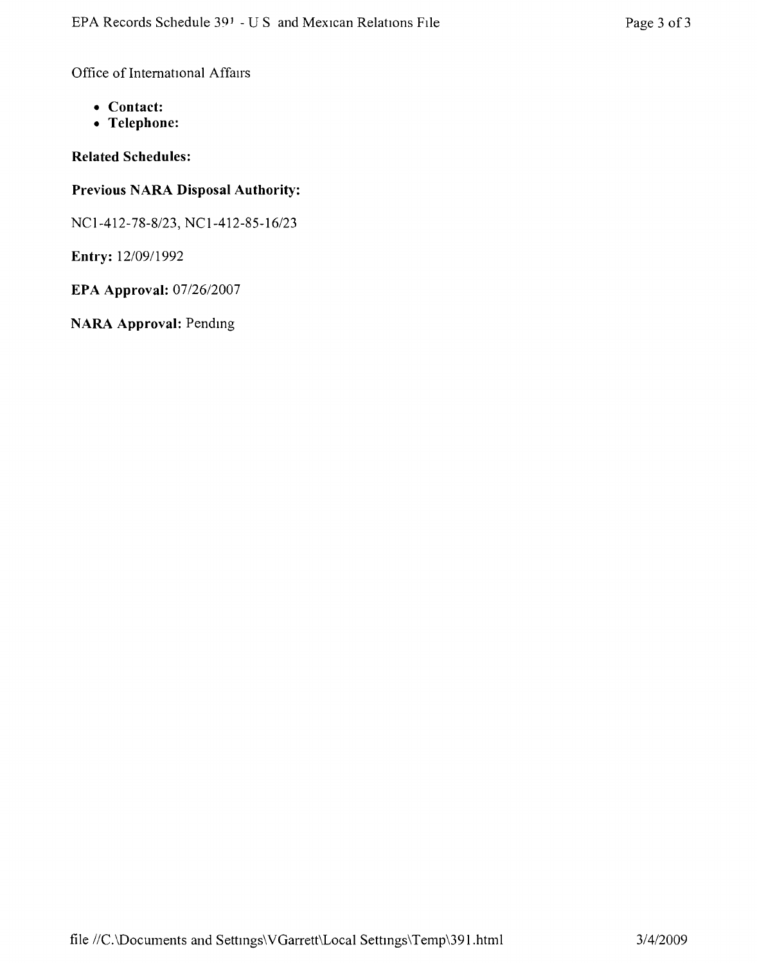Office of International Affairs

- **• Contact:**
- **• Telephone:**

## **Related Schedules:**

## **Previous NARA Disposal Authority:**

*NCI-412-78-8123,* NC *1-412-85-16123*

**Entry:** *12/09/1992*

**EPA Approval:** *07126/2007*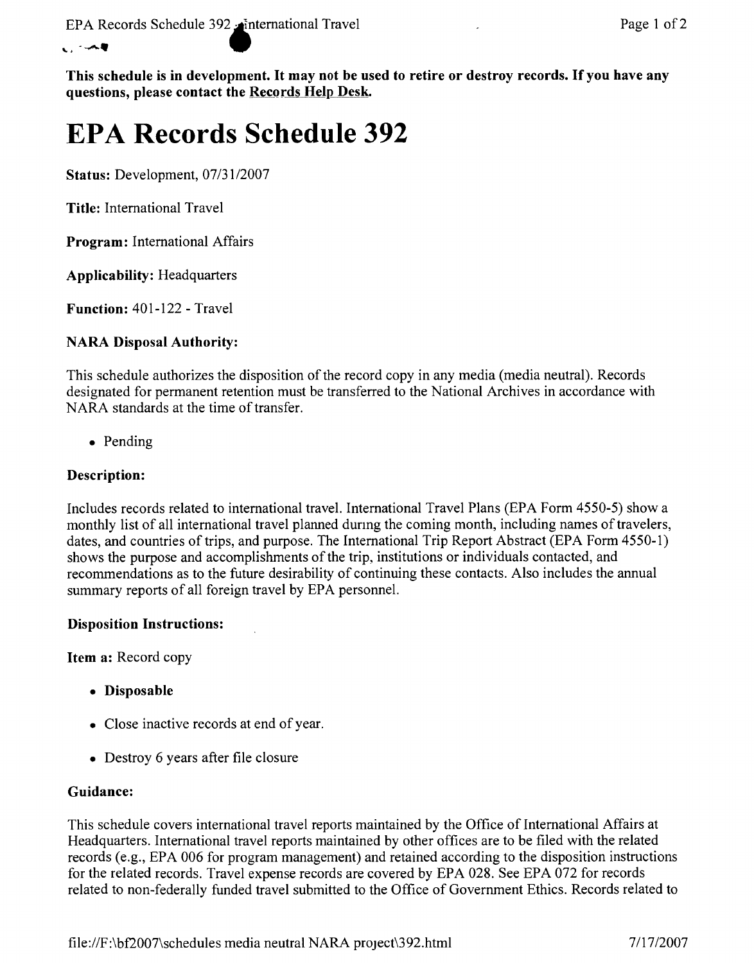#### $, - -$

This schedule is in development. It may not be used to retire or destroy records. If you have any questions, please contact the Records Help Desk.

# **EPA Records Schedule 392**

Status: Development, *07/31/2007*

Title: International Travel

Program: International Affairs

Applicability: Headquarters

Function: 401-122 - Travel

## NARA Disposal Authority:

This schedule authorizes the disposition of the record copy in any media (media neutral). Records designated for permanent retention must be transferred to the National Archives in accordance with NARA standards at the time of transfer.

• Pending

## Description:

Includes records related to international travel. International Travel Plans (EPA Form 4550-5) show a monthly list of all international travel planned durmg the coming month, including names of travelers, dates, and countries of trips, and purpose. The International Trip Report Abstract (EPA Form 4550-1) shows the purpose and accomplishments of the trip, institutions or individuals contacted, and recommendations as to the future desirability of continuing these contacts. Also includes the annual summary reports of all foreign travel by EPA personnel.

## Disposition Instructions:

Item a: Record copy

- Disposable
- Close inactive records at end of year.
- Destroy 6 years after file closure

## Guidance:

This schedule covers international travel reports maintained by the Office of International Affairs at Headquarters. International travel reports maintained by other offices are to be filed with the related records (e.g., EPA 006 for program management) and retained according to the disposition instructions for the related records. Travel expense records are covered by EPA 028. See EPA 072 for records related to non-federally funded travel submitted to the Office of Government Ethics. Records related to